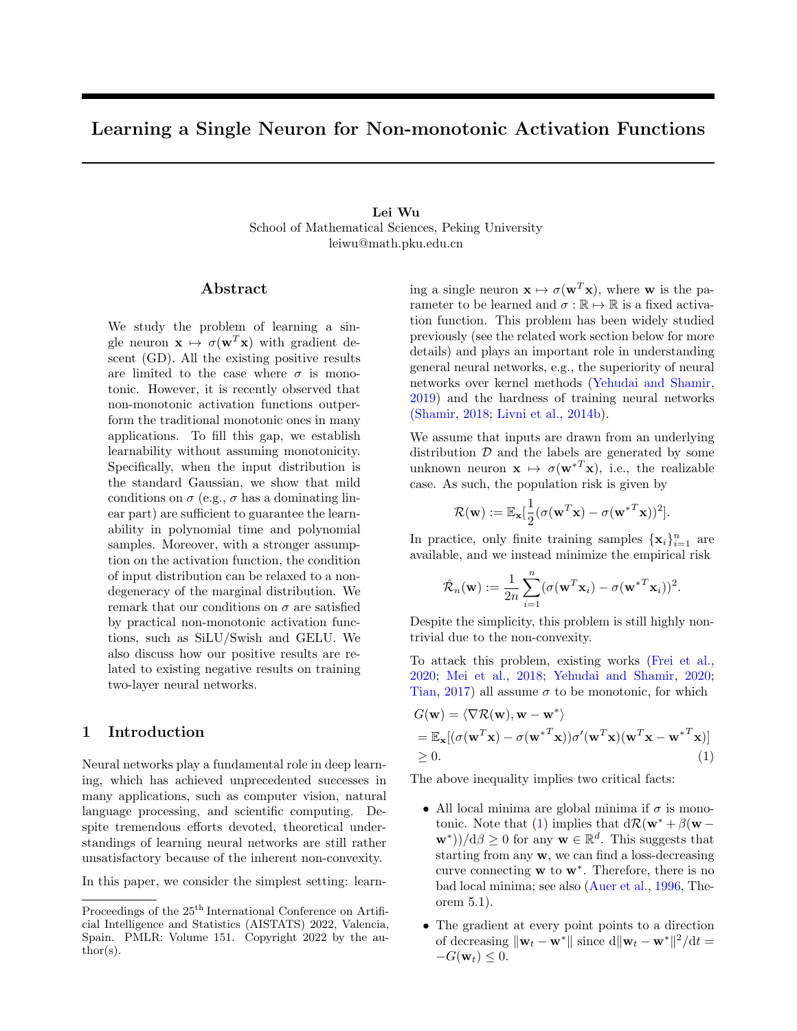# <span id="page-0-1"></span>Learning a Single Neuron for Non-monotonic Activation Functions

# Lei Wu School of Mathematical Sciences, Peking University leiwu@math.pku.edu.cn

# ${\rm Abstract}$

We study the problem of learning a single neuron  $\mathbf{x} \mapsto \sigma(\mathbf{w}^T \mathbf{x})$  with gradient descent (GD). All the existing positive results are limited to the case where  $\sigma$  is monotonic. However, it is recently observed that non-monotonic activation functions outperform the traditional monotonic ones in many applications. To fill this gap, we establish learnability without assuming monotonicity. Specifically, when the input distribution is the standard Gaussian, we show that mild conditions on  $\sigma$  (e.g.,  $\sigma$  has a dominating linear part) are sufficient to guarantee the learnability in polynomial time and polynomial samples. Moreover, with a stronger assumption on the activation function, the condition of input distribution can be relaxed to a nondegeneracy of the marginal distribution. We remark that our conditions on  $\sigma$  are satisfied by practical non-monotonic activation functions, such as SiLU/Swish and GELU. We also discuss how our positive results are related to existing negative results on training two-layer neural networks.

# 1 Introduction

Neural networks play a fundamental role in deep learning, which has achieved unprecedented successes in many applications, such as computer vision, natural language processing, and scientific computing. Despite tremendous efforts devoted, theoretical understandings of learning neural networks are still rather unsatisfactory because of the inherent non-convexity.

In this paper, we consider the simplest setting: learn-

ing a single neuron  $\mathbf{x} \mapsto \sigma(\mathbf{w}^T \mathbf{x})$ , where **w** is the parameter to be learned and  $\sigma : \mathbb{R} \to \mathbb{R}$  is a fixed activation function. This problem has been widely studied previously (see the related work section below for more details) and plays an important role in understanding general neural networks, e.g., the superiority of neural networks over kernel methods [\(Yehudai and Shamir,](#page-9-0) [2019\)](#page-9-0) and the hardness of training neural networks [\(Shamir,](#page-9-1) [2018;](#page-9-1) [Livni et al.,](#page-9-2) [2014b\)](#page-9-2).

We assume that inputs are drawn from an underlying distribution  $D$  and the labels are generated by some unknown neuron  $\mathbf{x} \mapsto \sigma(\mathbf{w}^{*T}\mathbf{x})$ , i.e., the realizable case. As such, the population risk is given by

$$
\mathcal{R}(\mathbf{w}) := \mathbb{E}_{\mathbf{x}}[\frac{1}{2}(\sigma(\mathbf{w}^T\mathbf{x}) - \sigma(\mathbf{w}^{*T}\mathbf{x}))^2].
$$

In practice, only finite training samples  $\{x_i\}_{i=1}^n$  are available, and we instead minimize the empirical risk

$$
\hat{\mathcal{R}}_n(\mathbf{w}) := \frac{1}{2n} \sum_{i=1}^n (\sigma(\mathbf{w}^T \mathbf{x}_i) - \sigma(\mathbf{w}^{*T} \mathbf{x}_i))^2.
$$

Despite the simplicity, this problem is still highly nontrivial due to the non-convexity.

To attack this problem, existing works [\(Frei et al.,](#page-8-0) [2020;](#page-8-0) [Mei et al.,](#page-9-3) [2018;](#page-9-3) [Yehudai and Shamir,](#page-9-4) [2020;](#page-9-4) [Tian,](#page-9-5) [2017\)](#page-9-5) all assume  $\sigma$  to be monotonic, for which

$$
G(\mathbf{w}) = \langle \nabla \mathcal{R}(\mathbf{w}), \mathbf{w} - \mathbf{w}^* \rangle
$$
  
=  $\mathbb{E}_{\mathbf{x}}[(\sigma(\mathbf{w}^T \mathbf{x}) - \sigma(\mathbf{w}^{*T} \mathbf{x}))\sigma'(\mathbf{w}^T \mathbf{x})(\mathbf{w}^T \mathbf{x} - \mathbf{w}^{*T} \mathbf{x})]$   
 $\geq 0.$  (1)

The above inequality implies two critical facts:

- <span id="page-0-0"></span>• All local minima are global minima if  $\sigma$  is mono-tonic. Note that [\(1\)](#page-0-0) implies that  $d\mathcal{R}(\mathbf{w}^* + \beta(\mathbf{w} (\mathbf{w}^*)/d\beta \ge 0$  for any  $\mathbf{w} \in \mathbb{R}^d$ . This suggests that starting from any w, we can find a loss-decreasing curve connecting  $w$  to  $w^*$ . Therefore, there is no bad local minima; see also [\(Auer et al.,](#page-8-1) [1996,](#page-8-1) Theorem 5.1).
- The gradient at every point points to a direction of decreasing  $\|\mathbf{w}_t - \mathbf{w}^*\|$  since  $d\|\mathbf{w}_t - \mathbf{w}^*\|^2/dt =$  $-G(\mathbf{w}_t) \leq 0.$

Proceedings of the  $25^{\text{th}}$  International Conference on Artificial Intelligence and Statistics (AISTATS) 2022, Valencia, Spain. PMLR: Volume 151. Copyright 2022 by the author(s).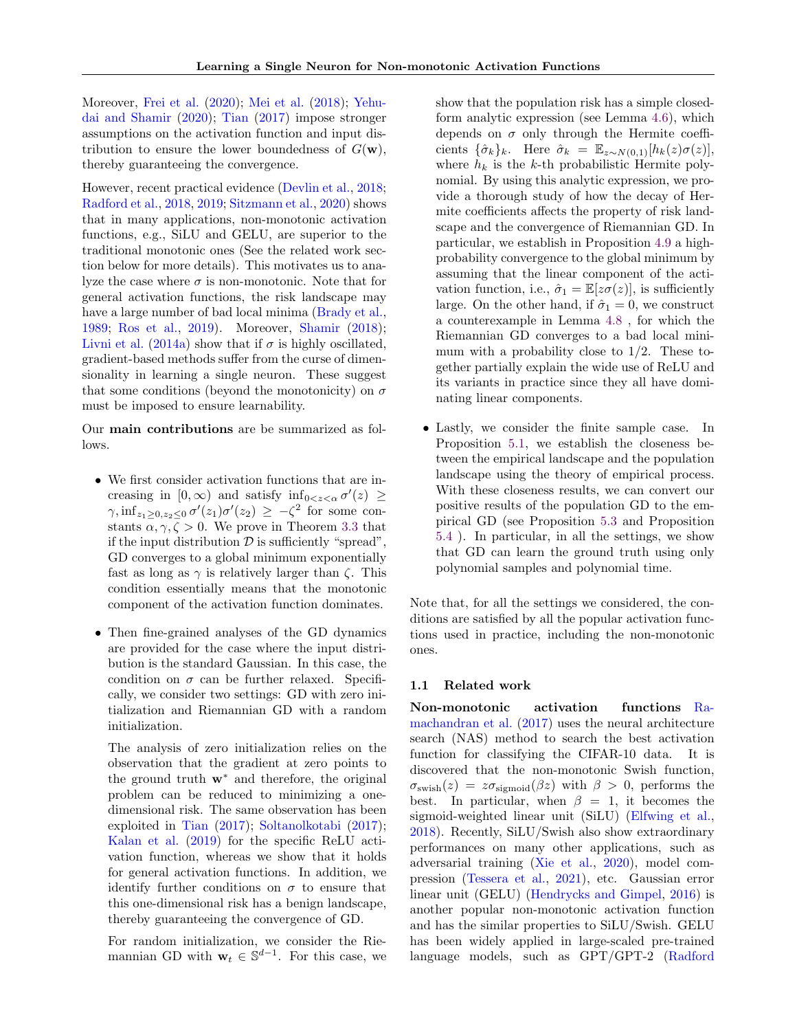Moreover, [Frei et al.](#page-8-0) [\(2020\)](#page-8-0); [Mei et al.](#page-9-3) [\(2018\)](#page-9-3); [Yehu](#page-9-4)[dai and Shamir](#page-9-4) [\(2020\)](#page-9-4); [Tian](#page-9-5) [\(2017\)](#page-9-5) impose stronger assumptions on the activation function and input distribution to ensure the lower boundedness of  $G(\mathbf{w})$ , thereby guaranteeing the convergence.

However, recent practical evidence [\(Devlin et al.,](#page-8-2) [2018;](#page-8-2) [Radford et al.,](#page-9-6) [2018,](#page-9-6) [2019;](#page-9-7) [Sitzmann et al.,](#page-9-8) [2020\)](#page-9-8) shows that in many applications, non-monotonic activation functions, e.g., SiLU and GELU, are superior to the traditional monotonic ones (See the related work section below for more details). This motivates us to analyze the case where  $\sigma$  is non-monotonic. Note that for general activation functions, the risk landscape may have a large number of bad local minima [\(Brady et al.,](#page-8-3) [1989;](#page-8-3) [Ros et al.,](#page-9-9) [2019\)](#page-9-9). Moreover, [Shamir](#page-9-1) [\(2018\)](#page-9-1); [Livni et al.](#page-9-10) [\(2014a\)](#page-9-10) show that if  $\sigma$  is highly oscillated, gradient-based methods suffer from the curse of dimensionality in learning a single neuron. These suggest that some conditions (beyond the monotonicity) on  $\sigma$ must be imposed to ensure learnability.

Our main contributions are be summarized as follows.

- We first consider activation functions that are increasing in  $[0, \infty)$  and satisfy  $\inf_{0 \leq z \leq \alpha} \sigma'(z) \geq$  $\gamma$ ,  $\inf_{z_1 \geq 0, z_2 \leq 0} \sigma'(z_1) \sigma'(z_2) \geq -\zeta^2$  for some constants  $\alpha, \gamma, \zeta > 0$ . We prove in Theorem [3.3](#page-3-0) that if the input distribution  $\mathcal D$  is sufficiently "spread", GD converges to a global minimum exponentially fast as long as  $\gamma$  is relatively larger than  $\zeta$ . This condition essentially means that the monotonic component of the activation function dominates.
- Then fine-grained analyses of the GD dynamics are provided for the case where the input distribution is the standard Gaussian. In this case, the condition on  $\sigma$  can be further relaxed. Specifically, we consider two settings: GD with zero initialization and Riemannian GD with a random initialization.

The analysis of zero initialization relies on the observation that the gradient at zero points to the ground truth w<sup>∗</sup> and therefore, the original problem can be reduced to minimizing a onedimensional risk. The same observation has been exploited in [Tian](#page-9-5) [\(2017\)](#page-9-5); [Soltanolkotabi](#page-9-11) [\(2017\)](#page-9-11); [Kalan et al.](#page-8-4) [\(2019\)](#page-8-4) for the specific ReLU activation function, whereas we show that it holds for general activation functions. In addition, we identify further conditions on  $\sigma$  to ensure that this one-dimensional risk has a benign landscape, thereby guaranteeing the convergence of GD.

For random initialization, we consider the Riemannian GD with  $\mathbf{w}_t \in \mathbb{S}^{d-1}$ . For this case, we

show that the population risk has a simple closedform analytic expression (see Lemma [4.6\)](#page-5-0), which depends on  $\sigma$  only through the Hermite coefficients  $\{\hat{\sigma}_k\}_k$ . Here  $\hat{\sigma}_k = \mathbb{E}_{z \sim N(0,1)}[h_k(z)\sigma(z)],$ where  $h_k$  is the k-th probabilistic Hermite polynomial. By using this analytic expression, we provide a thorough study of how the decay of Hermite coefficients affects the property of risk landscape and the convergence of Riemannian GD. In particular, we establish in Proposition [4.9](#page-7-0) a highprobability convergence to the global minimum by assuming that the linear component of the activation function, i.e.,  $\hat{\sigma}_1 = \mathbb{E}[z\sigma(z)]$ , is sufficiently large. On the other hand, if  $\hat{\sigma}_1 = 0$ , we construct a counterexample in Lemma [4.8](#page-6-0) , for which the Riemannian GD converges to a bad local minimum with a probability close to  $1/2$ . These together partially explain the wide use of ReLU and its variants in practice since they all have dominating linear components.

• Lastly, we consider the finite sample case. In Proposition [5.1,](#page-7-1) we establish the closeness between the empirical landscape and the population landscape using the theory of empirical process. With these closeness results, we can convert our positive results of the population GD to the empirical GD (see Proposition [5.3](#page-8-5) and Proposition [5.4](#page-8-6) ). In particular, in all the settings, we show that GD can learn the ground truth using only polynomial samples and polynomial time.

Note that, for all the settings we considered, the conditions are satisfied by all the popular activation functions used in practice, including the non-monotonic ones.

#### 1.1 Related work

Non-monotonic activation functions [Ra](#page-9-12)[machandran et al.](#page-9-12) [\(2017\)](#page-9-12) uses the neural architecture search (NAS) method to search the best activation function for classifying the CIFAR-10 data. It is discovered that the non-monotonic Swish function,  $\sigma_{\text{swish}}(z) = z\sigma_{\text{sigmoid}}(\beta z)$  with  $\beta > 0$ , performs the best. In particular, when  $\beta = 1$ , it becomes the sigmoid-weighted linear unit (SiLU) [\(Elfwing et al.,](#page-8-7) [2018\)](#page-8-7). Recently, SiLU/Swish also show extraordinary performances on many other applications, such as adversarial training [\(Xie et al.,](#page-9-13) [2020\)](#page-9-13), model compression [\(Tessera et al.,](#page-9-14) [2021\)](#page-9-14), etc. Gaussian error linear unit (GELU) [\(Hendrycks and Gimpel,](#page-8-8) [2016\)](#page-8-8) is another popular non-monotonic activation function and has the similar properties to SiLU/Swish. GELU has been widely applied in large-scaled pre-trained [language models, such as GPT/GPT-2 \(Radford](#page-9-6)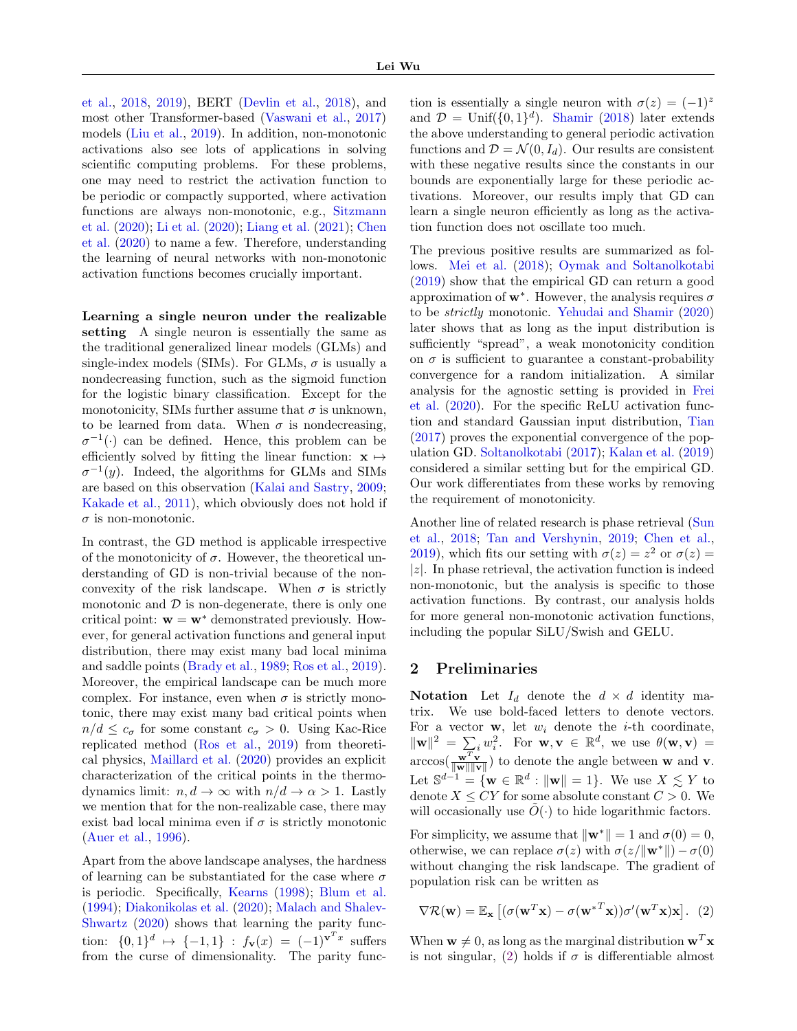[et al.,](#page-9-6) [2018,](#page-9-6) [2019\)](#page-9-7), BERT [\(Devlin et al.,](#page-8-2) [2018\)](#page-8-2), and most other Transformer-based [\(Vaswani et al.,](#page-9-15) [2017\)](#page-9-15) models [\(Liu et al.,](#page-9-16) [2019\)](#page-9-16). In addition, non-monotonic activations also see lots of applications in solving scientific computing problems. For these problems, one may need to restrict the activation function to be periodic or compactly supported, where activation functions are always non-monotonic, e.g., [Sitzmann](#page-9-8) [et al.](#page-9-8) [\(2020\)](#page-9-8); [Li et al.](#page-9-17) [\(2020\)](#page-9-17); [Liang et al.](#page-9-18) [\(2021\)](#page-9-18); [Chen](#page-8-9) [et al.](#page-8-9) [\(2020\)](#page-8-9) to name a few. Therefore, understanding the learning of neural networks with non-monotonic activation functions becomes crucially important.

Learning a single neuron under the realizable setting A single neuron is essentially the same as the traditional generalized linear models (GLMs) and single-index models (SIMs). For GLMs,  $\sigma$  is usually a nondecreasing function, such as the sigmoid function for the logistic binary classification. Except for the monotonicity, SIMs further assume that  $\sigma$  is unknown, to be learned from data. When  $\sigma$  is nondecreasing,  $\sigma^{-1}(\cdot)$  can be defined. Hence, this problem can be efficiently solved by fitting the linear function:  $\mathbf{x} \mapsto$  $\sigma^{-1}(y)$ . Indeed, the algorithms for GLMs and SIMs are based on this observation [\(Kalai and Sastry,](#page-8-10) [2009;](#page-8-10) [Kakade et al.,](#page-8-11) [2011\)](#page-8-11), which obviously does not hold if  $\sigma$  is non-monotonic.

In contrast, the GD method is applicable irrespective of the monotonicity of  $\sigma$ . However, the theoretical understanding of GD is non-trivial because of the nonconvexity of the risk landscape. When  $\sigma$  is strictly monotonic and  $\mathcal D$  is non-degenerate, there is only one critical point:  $\mathbf{w} = \mathbf{w}^*$  demonstrated previously. However, for general activation functions and general input distribution, there may exist many bad local minima and saddle points [\(Brady et al.,](#page-8-3) [1989;](#page-8-3) [Ros et al.,](#page-9-9) [2019\)](#page-9-9). Moreover, the empirical landscape can be much more complex. For instance, even when  $\sigma$  is strictly monotonic, there may exist many bad critical points when  $n/d \leq c_{\sigma}$  for some constant  $c_{\sigma} > 0$ . Using Kac-Rice replicated method [\(Ros et al.,](#page-9-9) [2019\)](#page-9-9) from theoretical physics, [Maillard et al.](#page-9-19) [\(2020\)](#page-9-19) provides an explicit characterization of the critical points in the thermodynamics limit:  $n, d \to \infty$  with  $n/d \to \alpha > 1$ . Lastly we mention that for the non-realizable case, there may exist bad local minima even if  $\sigma$  is strictly monotonic [\(Auer et al.,](#page-8-1) [1996\)](#page-8-1).

Apart from the above landscape analyses, the hardness of learning can be substantiated for the case where  $\sigma$ is periodic. Specifically, [Kearns](#page-9-20) [\(1998\)](#page-9-20); [Blum et al.](#page-8-12) [\(1994\)](#page-8-12); [Diakonikolas et al.](#page-8-13) [\(2020\)](#page-8-13); [Malach and Shalev-](#page-9-21)[Shwartz](#page-9-21) [\(2020\)](#page-9-21) shows that learning the parity function:  $\{0,1\}^d \mapsto \{-1,1\}$  :  $f_{\mathbf{v}}(x) = (-1)^{\mathbf{v}^T x}$  suffers from the curse of dimensionality. The parity func-

tion is essentially a single neuron with  $\sigma(z) = (-1)^z$ and  $\mathcal{D} = \text{Unif}(\{0, 1\}^d)$ . [Shamir](#page-9-1) [\(2018\)](#page-9-1) later extends the above understanding to general periodic activation functions and  $\mathcal{D} = \mathcal{N}(0, I_d)$ . Our results are consistent with these negative results since the constants in our bounds are exponentially large for these periodic activations. Moreover, our results imply that GD can learn a single neuron efficiently as long as the activation function does not oscillate too much.

The previous positive results are summarized as follows. [Mei et al.](#page-9-3) [\(2018\)](#page-9-3); [Oymak and Soltanolkotabi](#page-9-22) [\(2019\)](#page-9-22) show that the empirical GD can return a good approximation of  $w^*$ . However, the analysis requires  $\sigma$ to be strictly monotonic. [Yehudai and Shamir](#page-9-4) [\(2020\)](#page-9-4) later shows that as long as the input distribution is sufficiently "spread", a weak monotonicity condition on  $\sigma$  is sufficient to guarantee a constant-probability convergence for a random initialization. A similar analysis for the agnostic setting is provided in [Frei](#page-8-0) [et al.](#page-8-0) [\(2020\)](#page-8-0). For the specific ReLU activation function and standard Gaussian input distribution, [Tian](#page-9-5) [\(2017\)](#page-9-5) proves the exponential convergence of the population GD. [Soltanolkotabi](#page-9-11) [\(2017\)](#page-9-11); [Kalan et al.](#page-8-4) [\(2019\)](#page-8-4) considered a similar setting but for the empirical GD. Our work differentiates from these works by removing the requirement of monotonicity.

Another line of related research is phase retrieval [\(Sun](#page-9-23) [et al.,](#page-9-23) [2018;](#page-9-23) [Tan and Vershynin,](#page-9-24) [2019;](#page-9-24) [Chen et al.,](#page-8-14) [2019\)](#page-8-14), which fits our setting with  $\sigma(z) = z^2$  or  $\sigma(z) = z^2$  $|z|$ . In phase retrieval, the activation function is indeed non-monotonic, but the analysis is specific to those activation functions. By contrast, our analysis holds for more general non-monotonic activation functions, including the popular SiLU/Swish and GELU.

# 2 Preliminaries

Notation Let  $I_d$  denote the  $d \times d$  identity matrix. We use bold-faced letters to denote vectors. For a vector  $\mathbf{w}$ , let  $w_i$  denote the *i*-th coordinate,  $\|\mathbf{w}\|^2 = \sum_{i} w_i^2$ . For  $\mathbf{w}, \mathbf{v} \in \mathbb{R}^d$ , we use  $\theta(\mathbf{w}, \mathbf{v}) =$  $\arccos(\frac{\mathbf{w}^T \mathbf{v}}{\|\mathbf{w}\| \|\mathbf{v}\|})$  to denote the angle between **w** and **v**. Let  $\mathbb{S}^{d-1} = \{ \mathbf{w} \in \mathbb{R}^d : ||\mathbf{w}|| = 1 \}.$  We use  $X \lesssim Y$  to denote  $X \leq CY$  for some absolute constant  $C > 0$ . We will occasionally use  $\tilde{O}(\cdot)$  to hide logarithmic factors.

For simplicity, we assume that  $\|\mathbf{w}^*\| = 1$  and  $\sigma(0) = 0$ , otherwise, we can replace  $\sigma(z)$  with  $\sigma(z/\Vert \mathbf{w}^* \Vert) - \sigma(0)$ without changing the risk landscape. The gradient of population risk can be written as

<span id="page-2-0"></span>
$$
\nabla \mathcal{R}(\mathbf{w}) = \mathbb{E}_{\mathbf{x}} \left[ (\sigma(\mathbf{w}^T \mathbf{x}) - \sigma(\mathbf{w}^{*T} \mathbf{x})) \sigma'(\mathbf{w}^T \mathbf{x}) \mathbf{x} \right]. \tag{2}
$$

When  $\mathbf{w} \neq 0$ , as long as the marginal distribution  $\mathbf{w}^T \mathbf{x}$ is not singular, [\(2\)](#page-2-0) holds if  $\sigma$  is differentiable almost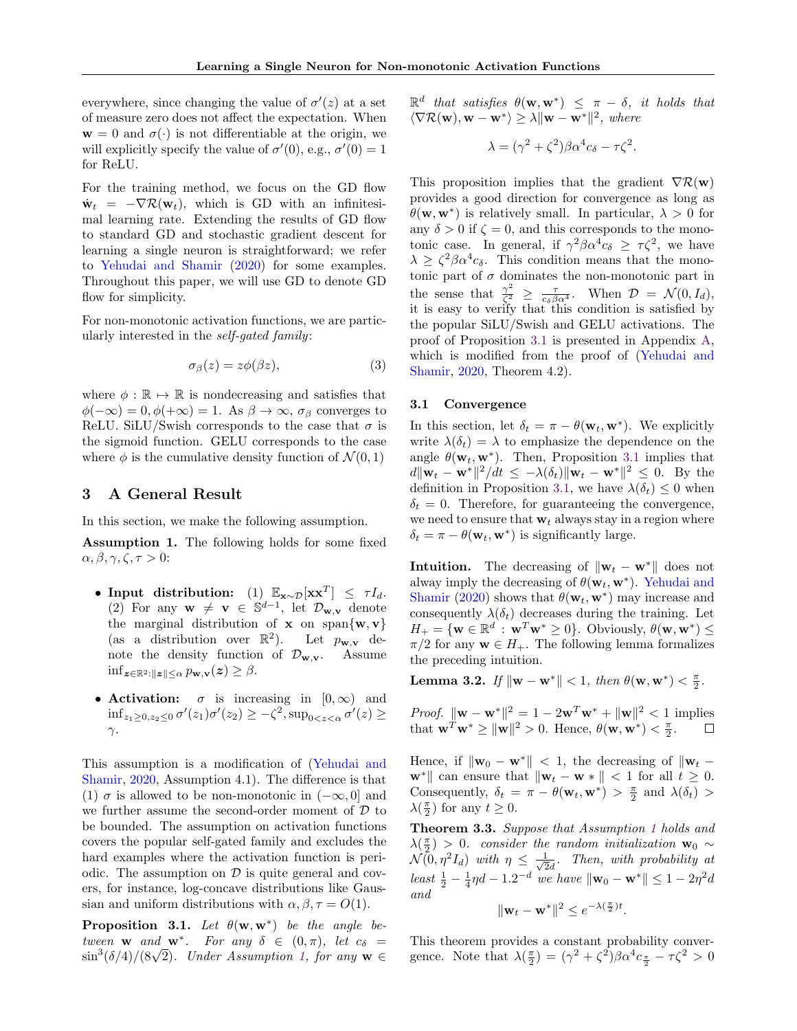everywhere, since changing the value of  $\sigma'(z)$  at a set of measure zero does not affect the expectation. When  $\mathbf{w} = 0$  and  $\sigma(\cdot)$  is not differentiable at the origin, we will explicitly specify the value of  $\sigma'(0)$ , e.g.,  $\sigma'(0) = 1$ for ReLU.

For the training method, we focus on the GD flow  $\dot{\mathbf{w}}_t = -\nabla \mathcal{R}(\mathbf{w}_t)$ , which is GD with an infinitesimal learning rate. Extending the results of GD flow to standard GD and stochastic gradient descent for learning a single neuron is straightforward; we refer to [Yehudai and Shamir](#page-9-4) [\(2020\)](#page-9-4) for some examples. Throughout this paper, we will use GD to denote GD flow for simplicity.

For non-monotonic activation functions, we are particularly interested in the self-gated family:

$$
\sigma_{\beta}(z) = z\phi(\beta z),\tag{3}
$$

where  $\phi : \mathbb{R} \to \mathbb{R}$  is nondecreasing and satisfies that  $\phi(-\infty) = 0, \phi(+\infty) = 1$ . As  $\beta \to \infty$ ,  $\sigma_\beta$  converges to ReLU. SiLU/Swish corresponds to the case that  $\sigma$  is the sigmoid function. GELU corresponds to the case where  $\phi$  is the cumulative density function of  $\mathcal{N}(0, 1)$ 

# <span id="page-3-3"></span>3 A General Result

In this section, we make the following assumption.

<span id="page-3-1"></span>Assumption 1. The following holds for some fixed  $\alpha, \beta, \gamma, \zeta, \tau > 0$ :

- Input distribution: (1)  $\mathbb{E}_{\mathbf{x} \sim \mathcal{D}}[\mathbf{x} \mathbf{x}^T] \leq \tau I_d$ . (2) For any  $\mathbf{w} \neq \mathbf{v} \in \mathbb{S}^{d-1}$ , let  $\mathcal{D}_{\mathbf{w},\mathbf{v}}$  denote the marginal distribution of **x** on span $\{w, v\}$ (as a distribution over  $\mathbb{R}^2$ ). Let  $p_{\mathbf{w},\mathbf{v}}$  denote the density function of  $\mathcal{D}_{\mathbf{w},\mathbf{v}}$ . Assume  $\inf_{\mathbf{z}\in\mathbb{R}^2:\|\mathbf{z}\|<\alpha} p_{\mathbf{w},\mathbf{v}}(\mathbf{z}) \geq \beta.$
- Activation:  $\sigma$  is increasing in  $[0,\infty)$  and  $\inf_{z_1 \geq 0, z_2 \leq 0} \sigma'(z_1) \sigma'(z_2) \geq -\zeta^2, \sup_{0 \leq z \leq \alpha} \sigma'(z) \geq$  $γ$ .

This assumption is a modification of [\(Yehudai and](#page-9-4) [Shamir,](#page-9-4) [2020,](#page-9-4) Assumption 4.1). The difference is that (1)  $\sigma$  is allowed to be non-monotonic in  $(-\infty, 0]$  and we further assume the second-order moment of  $D$  to be bounded. The assumption on activation functions covers the popular self-gated family and excludes the hard examples where the activation function is periodic. The assumption on  $\mathcal D$  is quite general and covers, for instance, log-concave distributions like Gaussian and uniform distributions with  $\alpha, \beta, \tau = O(1)$ .

<span id="page-3-2"></span>**Proposition 3.1.** Let  $\theta(\mathbf{w}, \mathbf{w}^*)$  be the angle between **w** and **w**<sup>\*</sup>. For any  $\delta \in (0, \pi)$ , let  $c_{\delta} =$  $\sin^3(\delta/4)/(8\sqrt{2})$ . Under Assumption [1,](#page-3-1) for any  $\mathbf{w} \in$   $\mathbb{R}^d$  that satisfies  $\theta(\mathbf{w}, \mathbf{w}^*) \leq \pi - \delta$ , it holds that  $\langle \nabla \mathcal{R}(\mathbf{w}), \mathbf{w} - \mathbf{w}^* \rangle \geq \lambda \|\mathbf{w} - \mathbf{w}^*\|^2$ , where

$$
\lambda = (\gamma^2 + \zeta^2)\beta\alpha^4 c_\delta - \tau\zeta^2.
$$

This proposition implies that the gradient  $\nabla \mathcal{R}(\mathbf{w})$ provides a good direction for convergence as long as  $\theta(\mathbf{w}, \mathbf{w}^*)$  is relatively small. In particular,  $\lambda > 0$  for any  $\delta > 0$  if  $\zeta = 0$ , and this corresponds to the monotonic case. In general, if  $\gamma^2 \beta \alpha^4 c_{\delta} \geq \tau \zeta^2$ , we have  $\lambda \geq \zeta^2 \beta \alpha^4 c_{\delta}$ . This condition means that the monotonic part of  $\sigma$  dominates the non-monotonic part in the sense that  $\frac{\gamma^2}{\zeta^2}$  $\frac{\gamma^2}{\zeta_1^2} \geq \frac{\tau}{c_\delta \beta \alpha^4}$ . When  $\mathcal{D} = \mathcal{N}(0, I_d)$ , it is easy to verify that this condition is satisfied by the popular SiLU/Swish and GELU activations. The proof of Proposition [3.1](#page-3-2) is presented in Appendix [A,](#page-10-0) which is modified from the proof of [\(Yehudai and](#page-9-4) [Shamir,](#page-9-4) [2020,](#page-9-4) Theorem 4.2).

#### 3.1 Convergence

In this section, let  $\delta_t = \pi - \theta(\mathbf{w}_t, \mathbf{w}^*)$ . We explicitly write  $\lambda(\delta_t) = \lambda$  to emphasize the dependence on the angle  $\theta(\mathbf{w}_t, \mathbf{w}^*)$ . Then, Proposition [3.1](#page-3-2) implies that  $d\|\mathbf{w}_t - \mathbf{w}^*\|^2/dt \leq -\lambda(\delta_t)\|\mathbf{w}_t - \mathbf{w}^*\|^2 \leq 0.$  By the definition in Proposition [3.1,](#page-3-2) we have  $\lambda(\delta_t) \leq 0$  when  $\delta_t = 0$ . Therefore, for guaranteeing the convergence, we need to ensure that  $w_t$  always stay in a region where  $\delta_t = \pi - \theta(\mathbf{w}_t, \mathbf{w}^*)$  is significantly large.

**Intuition.** The decreasing of  $\|\mathbf{w}_t - \mathbf{w}^*\|$  does not alway imply the decreasing of  $\theta(\mathbf{w}_t, \mathbf{w}^*)$ . [Yehudai and](#page-9-4) [Shamir](#page-9-4) [\(2020\)](#page-9-4) shows that  $\theta(\mathbf{w}_t, \mathbf{w}^*)$  may increase and consequently  $\lambda(\delta_t)$  decreases during the training. Let  $H_+ = \{ \mathbf{w} \in \mathbb{R}^d : \mathbf{w}^T \mathbf{w}^* \ge 0 \}.$  Obviously,  $\theta(\mathbf{w}, \mathbf{w}^*) \le$  $\pi/2$  for any  $\mathbf{w} \in H_+$ . The following lemma formalizes the preceding intuition.

<span id="page-3-4"></span>Lemma 3.2. If  $\|\mathbf{w} - \mathbf{w}^*\| < 1$ , then  $\theta(\mathbf{w}, \mathbf{w}^*) < \frac{\pi}{2}$ .

*Proof.*  $\|\mathbf{w} - \mathbf{w}^*\|^2 = 1 - 2\mathbf{w}^T\mathbf{w}^* + \|\mathbf{w}\|^2 < 1$  implies that  $\mathbf{w}^T \mathbf{w}^* \ge ||\mathbf{w}||^2 > 0$ . Hence,  $\theta(\mathbf{w}, \mathbf{w}^*) < \frac{\pi}{2}$ .

Hence, if  $\|\mathbf{w}_0 - \mathbf{w}^*\|$  < 1, the decreasing of  $\|\mathbf{w}_t \mathbf{w}^*$  can ensure that  $\|\mathbf{w}_t - \mathbf{w}^*\| < 1$  for all  $t \geq 0$ . Consequently,  $\delta_t = \pi - \theta(\mathbf{w}_t, \mathbf{w}^*) > \frac{\pi}{2}$  and  $\lambda(\delta_t) >$  $\lambda(\frac{\pi}{2})$  for any  $t \geq 0$ .

<span id="page-3-0"></span>Theorem 3.3. Suppose that Assumption [1](#page-3-1) holds and  $\lambda(\frac{\pi}{2}) > 0$ . consider the random initialization w<sub>0</sub> ∼  $\mathcal{N}(0, \eta^2 I_d)$  with  $\eta \leq \frac{1}{\sqrt{2}}$  $\frac{1}{2d}$ . Then, with probability at least  $\frac{1}{2} - \frac{1}{4}\eta d - 1.2^{-d}$  we have  $\|\mathbf{w}_0 - \mathbf{w}^*\| \le 1 - 2\eta^2 d$ and

$$
\|\mathbf{w}_t - \mathbf{w}^*\|^2 \le e^{-\lambda(\frac{\pi}{2})t}.
$$

This theorem provides a constant probability convergence. Note that  $\lambda(\frac{\pi}{2}) = (\gamma^2 + \zeta^2)\beta\alpha^4 c_{\frac{\pi}{2}} - \tau\zeta^2 > 0$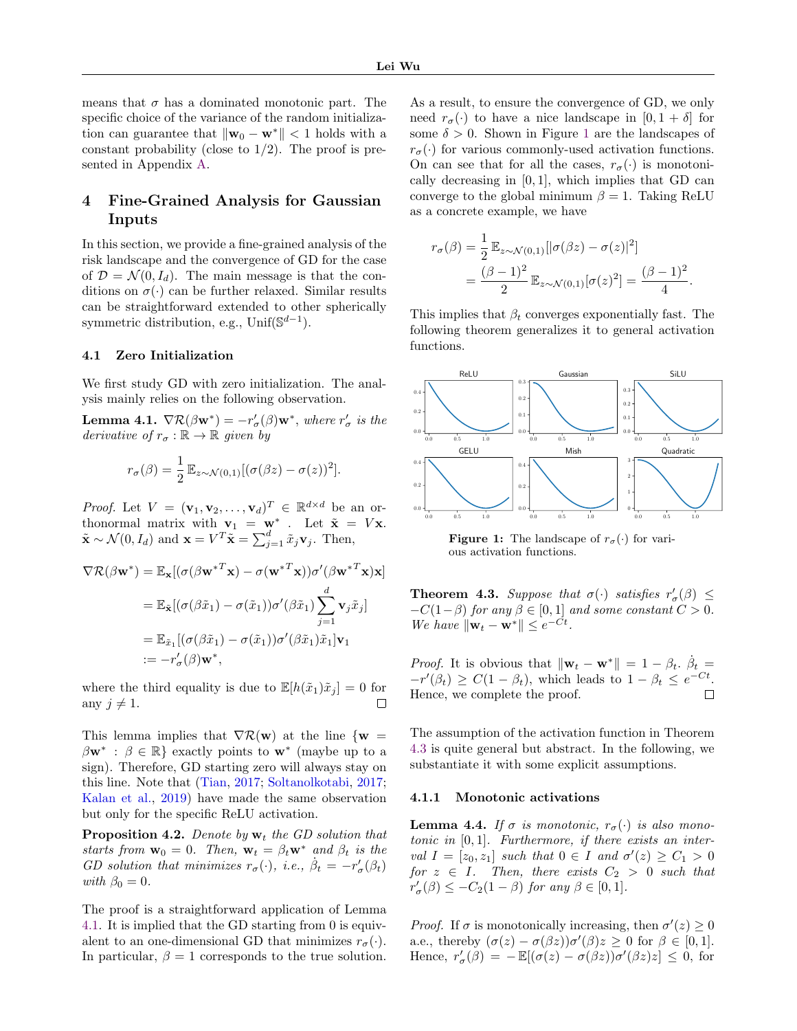means that  $\sigma$  has a dominated monotonic part. The specific choice of the variance of the random initialization can guarantee that  $\|\mathbf{w}_0 - \mathbf{w}^*\|$  < 1 holds with a constant probability (close to  $1/2$ ). The proof is presented in Appendix [A.](#page-10-0)

# <span id="page-4-4"></span>4 Fine-Grained Analysis for Gaussian Inputs

In this section, we provide a fine-grained analysis of the risk landscape and the convergence of GD for the case of  $\mathcal{D} = \mathcal{N}(0, I_d)$ . The main message is that the conditions on  $\sigma(\cdot)$  can be further relaxed. Similar results can be straightforward extended to other spherically symmetric distribution, e.g., Unif $(\mathbb{S}^{d-1})$ .

#### 4.1 Zero Initialization

We first study GD with zero initialization. The analysis mainly relies on the following observation.

<span id="page-4-0"></span>**Lemma 4.1.**  $\nabla \mathcal{R}(\beta \mathbf{w}^*) = -r'_{\sigma}(\beta) \mathbf{w}^*$ , where  $r'_{\sigma}$  is the derivative of  $r_{\sigma} : \mathbb{R} \to \mathbb{R}$  given by

$$
r_{\sigma}(\beta) = \frac{1}{2} \mathbb{E}_{z \sim \mathcal{N}(0,1)} [(\sigma(\beta z) - \sigma(z))^2].
$$

*Proof.* Let  $V = (\mathbf{v}_1, \mathbf{v}_2, \dots, \mathbf{v}_d)^T \in \mathbb{R}^{d \times d}$  be an orthonormal matrix with  $\mathbf{v}_1 = \mathbf{w}^*$ . Let  $\tilde{\mathbf{x}} = V\mathbf{x}$ .  $\tilde{\mathbf{x}} \sim \mathcal{N}(0, I_d)$  and  $\mathbf{x} = V^T \tilde{\mathbf{x}} = \sum_{j=1}^d \tilde{x}_j \mathbf{v}_j$ . Then,

$$
\nabla \mathcal{R}(\beta \mathbf{w}^*) = \mathbb{E}_{\mathbf{x}}[(\sigma(\beta \mathbf{w}^{*T} \mathbf{x}) - \sigma(\mathbf{w}^{*T} \mathbf{x}))\sigma'(\beta \mathbf{w}^{*T} \mathbf{x})\mathbf{x}]
$$
  
\n
$$
= \mathbb{E}_{\tilde{\mathbf{x}}}[(\sigma(\beta \tilde{x}_1) - \sigma(\tilde{x}_1))\sigma'(\beta \tilde{x}_1) \sum_{j=1}^d \mathbf{v}_j \tilde{x}_j]
$$
  
\n
$$
= \mathbb{E}_{\tilde{x}_1}[(\sigma(\beta \tilde{x}_1) - \sigma(\tilde{x}_1))\sigma'(\beta \tilde{x}_1) \tilde{x}_1] \mathbf{v}_1
$$
  
\n
$$
:= -r'_{\sigma}(\beta) \mathbf{w}^*,
$$

where the third equality is due to  $\mathbb{E}[h(\tilde{x}_1)\tilde{x}_j] = 0$  for any  $j \neq 1$ .

This lemma implies that  $\nabla \mathcal{R}(\mathbf{w})$  at the line  $\{\mathbf{w} =$  $\beta \mathbf{w}^*$ :  $\beta \in \mathbb{R}$ } exactly points to  $\mathbf{w}^*$  (maybe up to a sign). Therefore, GD starting zero will always stay on this line. Note that [\(Tian,](#page-9-5) [2017;](#page-9-5) [Soltanolkotabi,](#page-9-11) [2017;](#page-9-11) [Kalan et al.,](#page-8-4) [2019\)](#page-8-4) have made the same observation but only for the specific ReLU activation.

**Proposition 4.2.** Denote by  $w_t$  the GD solution that starts from  $\mathbf{w}_0 = 0$ . Then,  $\mathbf{w}_t = \beta_t \mathbf{w}^*$  and  $\beta_t$  is the GD solution that minimizes  $r_{\sigma}(\cdot)$ , i.e.,  $\dot{\beta}_t = -r'_{\sigma}(\beta_t)$ with  $\beta_0 = 0$ .

The proof is a straightforward application of Lemma [4.1.](#page-4-0) It is implied that the GD starting from 0 is equivalent to an one-dimensional GD that minimizes  $r_{\sigma}(\cdot)$ . In particular,  $\beta = 1$  corresponds to the true solution.

As a result, to ensure the convergence of GD, we only need  $r_{\sigma}(\cdot)$  to have a nice landscape in  $[0, 1 + \delta]$  for some  $\delta > 0$ . Shown in Figure [1](#page-4-1) are the landscapes of  $r_{\sigma}(\cdot)$  for various commonly-used activation functions. On can see that for all the cases,  $r_{\sigma}(\cdot)$  is monotonically decreasing in  $[0, 1]$ , which implies that GD can converge to the global minimum  $\beta = 1$ . Taking ReLU as a concrete example, we have

$$
r_{\sigma}(\beta) = \frac{1}{2} \mathbb{E}_{z \sim \mathcal{N}(0,1)}[|\sigma(\beta z) - \sigma(z)|^2]
$$
  
= 
$$
\frac{(\beta - 1)^2}{2} \mathbb{E}_{z \sim \mathcal{N}(0,1)}[\sigma(z)^2] = \frac{(\beta - 1)^2}{4}.
$$

This implies that  $\beta_t$  converges exponentially fast. The following theorem generalizes it to general activation functions.

<span id="page-4-1"></span>

**Figure 1:** The landscape of  $r_{\sigma}(\cdot)$  for various activation functions.

<span id="page-4-2"></span>**Theorem 4.3.** Suppose that  $\sigma(\cdot)$  satisfies  $r'_{\sigma}(\beta) \leq$  $-C(1-\beta)$  for any  $\beta \in [0,1]$  and some constant  $C > 0$ . We have  $\|\mathbf{w}_t - \mathbf{w}^*\| \leq e^{-Ct}$ .

*Proof.* It is obvious that  $\|\mathbf{w}_t - \mathbf{w}^*\| = 1 - \beta_t$ .  $\beta_t =$  $-r'(\beta_t) \geq C(1-\beta_t)$ , which leads to  $1-\beta_t \leq e^{-Ct}$ . Hence, we complete the proof.  $\Box$ 

The assumption of the activation function in Theorem [4.3](#page-4-2) is quite general but abstract. In the following, we substantiate it with some explicit assumptions.

#### 4.1.1 Monotonic activations

<span id="page-4-3"></span>**Lemma 4.4.** If  $\sigma$  is monotonic,  $r_{\sigma}(\cdot)$  is also monotonic in  $[0, 1]$ . Furthermore, if there exists an interval  $I = [z_0, z_1]$  such that  $0 \in I$  and  $\sigma'(z) \ge C_1 > 0$ for  $z \in I$ . Then, there exists  $C_2 > 0$  such that  $r'_{\sigma}(\beta) \leq -C_2(1-\beta)$  for any  $\beta \in [0,1]$ .

*Proof.* If  $\sigma$  is monotonically increasing, then  $\sigma'(z) \geq 0$ a.e., thereby  $(\sigma(z) - \sigma(\beta z))\sigma'(\beta)z \geq 0$  for  $\beta \in [0,1]$ . Hence,  $r'_{\sigma}(\beta) = -\mathbb{E}[(\sigma(z) - \sigma(\beta z))\sigma'(\beta z)z] \leq 0$ , for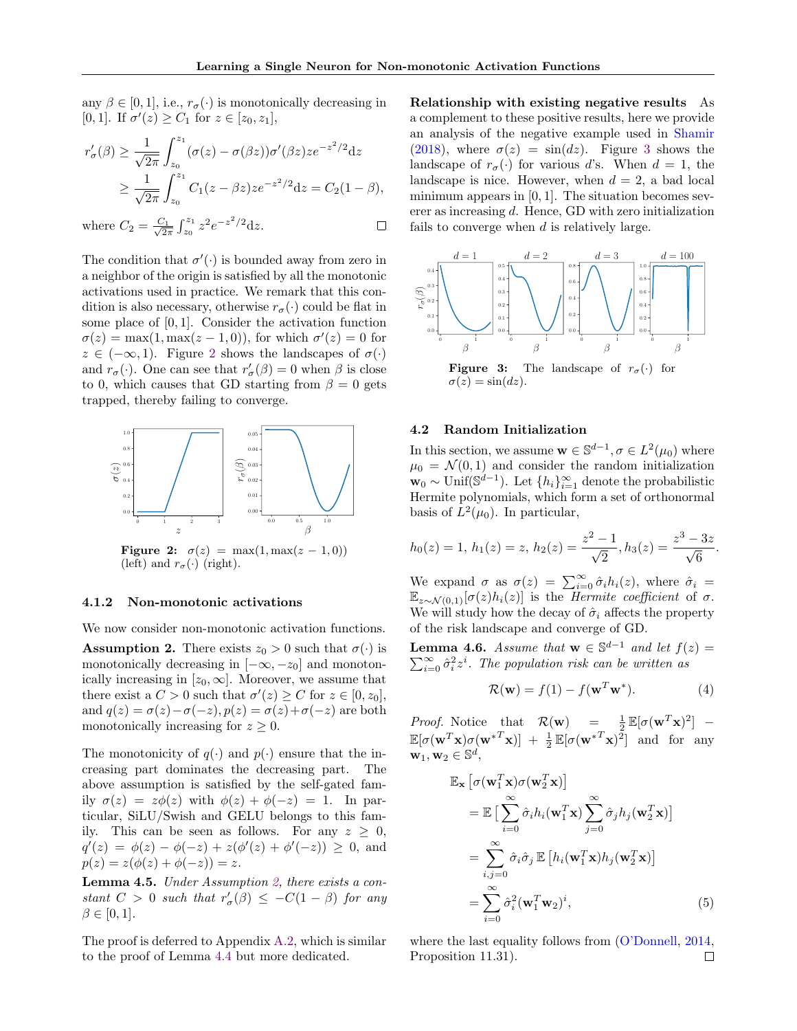any  $\beta \in [0, 1]$ , i.e.,  $r_{\sigma}(\cdot)$  is monotonically decreasing in [0, 1]. If  $\sigma'(z) \geq C_1$  for  $z \in [z_0, z_1]$ ,

$$
r'_{\sigma}(\beta) \ge \frac{1}{\sqrt{2\pi}} \int_{z_0}^{z_1} (\sigma(z) - \sigma(\beta z)) \sigma'(\beta z) z e^{-z^2/2} dz
$$
  
 
$$
\ge \frac{1}{\sqrt{2\pi}} \int_{z_0}^{z_1} C_1(z - \beta z) z e^{-z^2/2} dz = C_2(1 - \beta),
$$

 $\frac{C_1}{2\pi} \int_{z_0}^{z_1} z^2 e^{-z^2/2} dz.$ where  $C_2 = \frac{C_1}{\sqrt{2}}$  $\Box$ 

The condition that  $\sigma'(\cdot)$  is bounded away from zero in a neighbor of the origin is satisfied by all the monotonic activations used in practice. We remark that this condition is also necessary, otherwise  $r_{\sigma}(\cdot)$  could be flat in some place of  $[0, 1]$ . Consider the activation function  $\sigma(z) = \max(1, \max(z - 1, 0)),$  for which  $\sigma'(z) = 0$  for  $z \in (-\infty, 1)$ . Figure [2](#page-5-1) shows the landscapes of  $\sigma(\cdot)$ and  $r_{\sigma}(\cdot)$ . One can see that  $r_{\sigma}'(\beta) = 0$  when  $\beta$  is close to 0, which causes that GD starting from  $\beta = 0$  gets trapped, thereby failing to converge.

<span id="page-5-1"></span>

**Figure 2:**  $\sigma(z) = \max(1, \max(z - 1, 0))$ (left) and  $r_{\sigma}(\cdot)$  (right).

#### 4.1.2 Non-monotonic activations

We now consider non-monotonic activation functions.

<span id="page-5-2"></span>**Assumption 2.** There exists  $z_0 > 0$  such that  $\sigma(\cdot)$  is monotonically decreasing in  $[-\infty, -z_0]$  and monotonically increasing in  $[z_0, \infty]$ . Moreover, we assume that there exist a  $C > 0$  such that  $\sigma'(z) \ge C$  for  $z \in [0, z_0]$ , and  $q(z) = \sigma(z) - \sigma(-z)$ ,  $p(z) = \sigma(z) + \sigma(-z)$  are both monotonically increasing for  $z \geq 0$ .

The monotonicity of  $q(\cdot)$  and  $p(\cdot)$  ensure that the increasing part dominates the decreasing part. The above assumption is satisfied by the self-gated family  $\sigma(z) = z\phi(z)$  with  $\phi(z) + \phi(-z) = 1$ . In particular, SiLU/Swish and GELU belongs to this family. This can be seen as follows. For any  $z \geq 0$ ,  $q'(z) = \phi(z) - \phi(-z) + z(\phi'(z) + \phi'(-z)) \geq 0$ , and  $p(z) = z(\phi(z) + \phi(-z)) = z.$ 

<span id="page-5-4"></span>Lemma 4.5. Under Assumption [2,](#page-5-2) there exists a constant  $C > 0$  such that  $r'_{\sigma}(\beta) \leq -C(1-\beta)$  for any  $\beta \in [0,1].$ 

The proof is deferred to Appendix [A.2,](#page-10-1) which is similar to the proof of Lemma [4.4](#page-4-3) but more dedicated.

Relationship with existing negative results As a complement to these positive results, here we provide an analysis of the negative example used in [Shamir](#page-9-1) [\(2018\)](#page-9-1), where  $\sigma(z) = \sin(dz)$ . Figure [3](#page-5-3) shows the landscape of  $r_{\sigma}(\cdot)$  for various d's. When  $d = 1$ , the landscape is nice. However, when  $d = 2$ , a bad local minimum appears in  $[0, 1]$ . The situation becomes severer as increasing d. Hence, GD with zero initialization fails to converge when  $d$  is relatively large.

<span id="page-5-3"></span>

 $\sigma(z) = \sin(dz)$ .

#### 4.2 Random Initialization

In this section, we assume  $\mathbf{w} \in \mathbb{S}^{d-1}, \sigma \in L^2(\mu_0)$  where  $\mu_0 = \mathcal{N}(0, 1)$  and consider the random initialization  $\mathbf{w}_0 \sim \text{Unif}(\mathbb{S}^{d-1})$ . Let  $\{h_i\}_{i=1}^{\infty}$  denote the probabilistic Hermite polynomials, which form a set of orthonormal basis of  $L^2(\mu_0)$ . In particular,

$$
h_0(z) = 1, h_1(z) = z, h_2(z) = \frac{z^2 - 1}{\sqrt{2}}, h_3(z) = \frac{z^3 - 3z}{\sqrt{6}}.
$$

We expand  $\sigma$  as  $\sigma(z) = \sum_{i=0}^{\infty} \hat{\sigma}_i h_i(z)$ , where  $\hat{\sigma}_i$  $\mathbb{E}_{z \sim \mathcal{N}(0,1)}[\sigma(z)h_i(z)]$  is the *Hermite coefficient* of  $\sigma$ . We will study how the decay of  $\hat{\sigma}_i$  affects the property of the risk landscape and converge of GD.

<span id="page-5-0"></span>**Lemma 4.6.** Assume that  $\mathbf{w} \in \mathbb{S}^{d-1}$  and let  $f(z) = \mathbf{w} \cdot \mathbf{w} \cdot \mathbf{w}$  $\sum_{i=0}^{\infty} \hat{\sigma}_i^2 z^i$ . The population risk can be written as

$$
\mathcal{R}(\mathbf{w}) = f(1) - f(\mathbf{w}^T \mathbf{w}^*).
$$
 (4)

*Proof.* Notice that  $\mathcal{R}(\mathbf{w}) = \frac{1}{2} \mathbb{E}[\sigma(\mathbf{w}^T \mathbf{x})^2]$  –  $\mathbb{E}[\sigma(\mathbf{w}^T\mathbf{x})\sigma(\mathbf{w}^{*T}\mathbf{x})] + \frac{1}{2}\mathbb{E}[\sigma(\mathbf{w}^{*T}\mathbf{x})^2]$  and for any  $\mathbf{w}_1, \mathbf{w}_2 \in \mathbb{S}^d$ ,

$$
\mathbb{E}_{\mathbf{x}}\left[\sigma(\mathbf{w}_{1}^{T}\mathbf{x})\sigma(\mathbf{w}_{2}^{T}\mathbf{x})\right]
$$
\n
$$
= \mathbb{E}\left[\sum_{i=0}^{\infty} \hat{\sigma}_{i} h_{i}(\mathbf{w}_{1}^{T}\mathbf{x}) \sum_{j=0}^{\infty} \hat{\sigma}_{j} h_{j}(\mathbf{w}_{2}^{T}\mathbf{x})\right]
$$
\n
$$
= \sum_{i,j=0}^{\infty} \hat{\sigma}_{i} \hat{\sigma}_{j} \mathbb{E}\left[h_{i}(\mathbf{w}_{1}^{T}\mathbf{x})h_{j}(\mathbf{w}_{2}^{T}\mathbf{x})\right]
$$
\n
$$
= \sum_{i=0}^{\infty} \hat{\sigma}_{i}^{2}(\mathbf{w}_{1}^{T}\mathbf{w}_{2})^{i},
$$
\n(5)

where the last equality follows from [\(O'Donnell,](#page-9-25) [2014,](#page-9-25) Proposition 11.31). $\Box$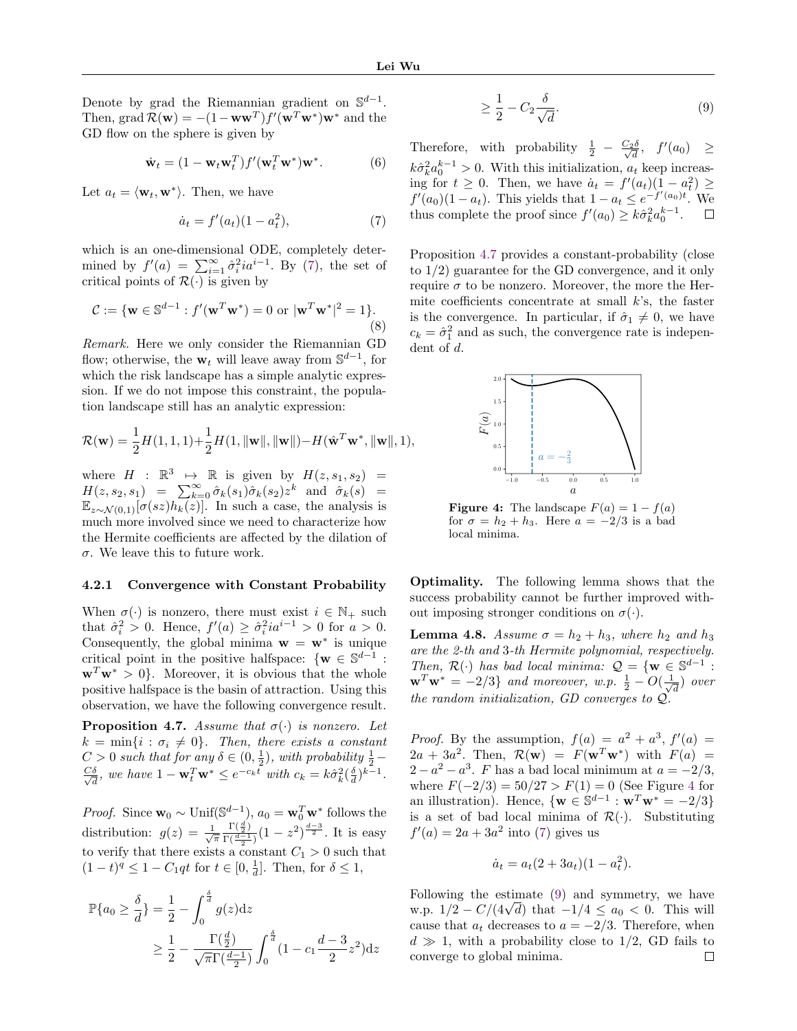Denote by grad the Riemannian gradient on  $\mathbb{S}^{d-1}$ . Then, grad  $\mathcal{R}(\mathbf{w}) = -(1 - \mathbf{w}\mathbf{w}^T) f'(\mathbf{w}^T \mathbf{w}^*) \mathbf{w}^*$  and the GD flow on the sphere is given by

<span id="page-6-5"></span>
$$
\dot{\mathbf{w}}_t = (1 - \mathbf{w}_t \mathbf{w}_t^T) f'(\mathbf{w}_t^T \mathbf{w}^*) \mathbf{w}^*.
$$
 (6)

Let  $a_t = \langle \mathbf{w}_t, \mathbf{w}^* \rangle$ . Then, we have

$$
\dot{a}_t = f'(a_t)(1 - a_t^2),\tag{7}
$$

which is an one-dimensional ODE, completely determined by  $f'(a) = \sum_{i=1}^{\infty} \hat{\sigma}_i^2 i a^{i-1}$ . By [\(7\)](#page-6-1), the set of critical points of  $\mathcal{R}(\cdot)$  is given by

$$
C := \{ \mathbf{w} \in \mathbb{S}^{d-1} : f'(\mathbf{w}^T \mathbf{w}^*) = 0 \text{ or } |\mathbf{w}^T \mathbf{w}^*|^2 = 1 \}. \tag{8}
$$

Remark. Here we only consider the Riemannian GD flow; otherwise, the  $\mathbf{w}_t$  will leave away from  $\mathbb{S}^{d-1}$ , for which the risk landscape has a simple analytic expression. If we do not impose this constraint, the population landscape still has an analytic expression:

$$
\mathcal{R}(\mathbf{w}) = \frac{1}{2}H(1,1,1) + \frac{1}{2}H(1, \|\mathbf{w}\|, \|\mathbf{w}\|) - H(\hat{\mathbf{w}}^T \mathbf{w}^*, \|\mathbf{w}\|, 1),
$$

where  $H : \mathbb{R}^3 \longrightarrow \mathbb{R}$  is given by  $H(z, s_1, s_2) =$  $H(z, s_2, s_1) = \sum_{k=0}^{\infty} \hat{\sigma}_k(s_1) \hat{\sigma}_k(s_2) z^k$  and  $\hat{\sigma}_k(s) =$  $\mathbb{E}_{z \sim \mathcal{N}(0,1)}[\sigma(sz)h_k(z)]$ . In such a case, the analysis is much more involved since we need to characterize how the Hermite coefficients are affected by the dilation of σ. We leave this to future work.

#### 4.2.1 Convergence with Constant Probability

When  $\sigma(\cdot)$  is nonzero, there must exist  $i \in \mathbb{N}_+$  such that  $\hat{\sigma}_i^2 > 0$ . Hence,  $f'(a) \geq \hat{\sigma}_i^2 i a^{i-1} > 0$  for  $a > 0$ . Consequently, the global minima  $\mathbf{w} = \mathbf{w}^*$  is unique critical point in the positive halfspace:  $\{ \mathbf{w} \in \mathbb{S}^{d-1} :$  $\mathbf{w}^T \mathbf{w}^* > 0$ . Moreover, it is obvious that the whole positive halfspace is the basin of attraction. Using this observation, we have the following convergence result.

<span id="page-6-2"></span>**Proposition 4.7.** Assume that  $\sigma(\cdot)$  is nonzero. Let  $k = \min\{i : \sigma_i \neq 0\}$ . Then, there exists a constant  $C > 0$  such that for any  $\delta \in (0, \frac{1}{2})$ , with probability  $\frac{1}{2} - \frac{C\delta}{\delta}$ , we have  $1 - \mathbf{w}_k^T \mathbf{w}^* \le e^{-c_k t}$  with  $c_k = k \hat{\sigma}_k^2 (\frac{\delta}{2})^{k-1}$ .  $\frac{\delta}{d}$ , we have  $1 - \mathbf{w}_t^T \mathbf{w}^* \le e^{-c_k t}$  with  $c_k = k \hat{\sigma}_k^2 (\frac{\delta}{d})^{k-1}$ .

*Proof.* Since  $\mathbf{w}_0 \sim \text{Unif}(\mathbb{S}^{d-1})$ ,  $a_0 = \mathbf{w}_0^T \mathbf{w}^*$  follows the distribution:  $g(z) = \frac{1}{\sqrt{\pi}}$  $\Gamma(\frac{d}{2})$  $\frac{\Gamma(\frac{d}{2})}{\Gamma(\frac{d-1}{2})}(1-z^2)^{\frac{d-3}{2}}$ . It is easy to verify that there exists a constant  $C_1 > 0$  such that  $(1-t)^q \leq 1 - C_1qt$  for  $t \in [0, \frac{1}{d}]$ . Then, for  $\delta \leq 1$ ,

$$
\mathbb{P}\{a_0 \ge \frac{\delta}{d}\} = \frac{1}{2} - \int_0^{\frac{\delta}{d}} g(z)dz
$$
  
 
$$
\ge \frac{1}{2} - \frac{\Gamma(\frac{d}{2})}{\sqrt{\pi}\Gamma(\frac{d-1}{2})} \int_0^{\frac{\delta}{d}} (1 - c_1 \frac{d-3}{2} z^2) dz
$$

<span id="page-6-4"></span>
$$
\geq \frac{1}{2} - C_2 \frac{\delta}{\sqrt{d}}.\tag{9}
$$

Therefore, with probability  $\frac{1}{2} - \frac{C_2 \delta}{\sqrt{d}}, f'(a_0) \geq$  $k\hat{\sigma}_k^2 a_0^{k-1} > 0$ . With this initialization,  $a_t$  keep increasing for  $t \geq 0$ . Then, we have  $a_t = f'(a_t)(1 - a_t^2) \geq$  $f'(a_0)(1-a_t)$ . This yields that  $1-a_t \leq e^{-f'(a_0)t}$ . We thus complete the proof since  $f'(a_0) \geq k \hat{\sigma}_k^2 a_0^{k-1}$ .  $\Box$ 

<span id="page-6-1"></span>Proposition [4.7](#page-6-2) provides a constant-probability (close to 1/2) guarantee for the GD convergence, and it only require  $\sigma$  to be nonzero. Moreover, the more the Hermite coefficients concentrate at small  $k$ 's, the faster is the convergence. In particular, if  $\hat{\sigma}_1 \neq 0$ , we have  $c_k = \hat{\sigma}_1^2$  and as such, the convergence rate is independent of d.

<span id="page-6-3"></span>

**Figure 4:** The landscape  $F(a) = 1 - f(a)$ for  $\sigma = h_2 + h_3$ . Here  $a = -2/3$  is a bad local minima.

Optimality. The following lemma shows that the success probability cannot be further improved without imposing stronger conditions on  $\sigma(\cdot)$ .

<span id="page-6-0"></span>**Lemma 4.8.** Assume  $\sigma = h_2 + h_3$ , where  $h_2$  and  $h_3$ are the 2-th and 3-th Hermite polynomial, respectively. Then,  $\mathcal{R}(\cdot)$  has bad local minima:  $\mathcal{Q} = \{ \mathbf{w} \in \mathbb{S}^{d-1} :$  $\mathbf{w}^T \mathbf{w}^* = -2/3$  and moreover, w.p.  $\frac{1}{2} - O(\frac{1}{\sqrt{2}})$  $\bar{d}$ ) over the random initialization, GD converges to  $\mathcal{Q}$ 

*Proof.* By the assumption,  $f(a) = a^2 + a^3$ ,  $f'(a) =$  $2a + 3a^2$ . Then,  $\mathcal{R}(\mathbf{w}) = F(\mathbf{w}^T \mathbf{w}^*)$  with  $F(a) =$  $2 - a^2 - a^3$ . F has a bad local minimum at  $a = -2/3$ , where  $F(-2/3) = 50/27 > F(1) = 0$  (See Figure [4](#page-6-3) for an illustration). Hence,  $\{ \mathbf{w} \in \mathbb{S}^{d-1} : \mathbf{w}^T \mathbf{w}^* = -2/3 \}$ is a set of bad local minima of  $\mathcal{R}(\cdot)$ . Substituting  $f'(a) = 2a + 3a^2$  into [\(7\)](#page-6-1) gives us

$$
\dot{a}_t = a_t (2 + 3a_t)(1 - a_t^2).
$$

Following the estimate [\(9\)](#page-6-4) and symmetry, we have w.p.  $1/2 - C/(4\sqrt{d})$  that  $-1/4 \le a_0 < 0$ . This will cause that  $a_t$  decreases to  $a = -2/3$ . Therefore, when  $d \gg 1$ , with a probability close to 1/2, GD fails to converge to global minima. converge to global minima.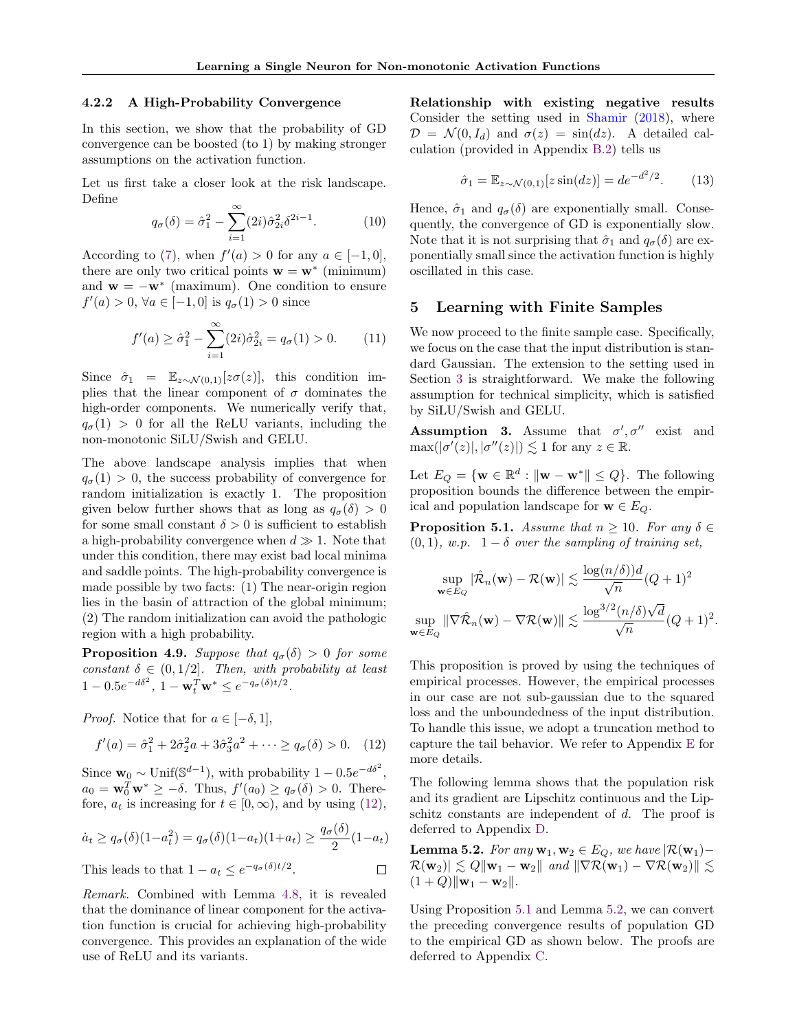#### 4.2.2 A High-Probability Convergence

In this section, we show that the probability of GD convergence can be boosted (to 1) by making stronger assumptions on the activation function.

Let us first take a closer look at the risk landscape. Define

$$
q_{\sigma}(\delta) = \hat{\sigma}_1^2 - \sum_{i=1}^{\infty} (2i)\hat{\sigma}_{2i}^2 \delta^{2i-1}.
$$
 (10)

According to [\(7\)](#page-6-1), when  $f'(a) > 0$  for any  $a \in [-1, 0]$ , there are only two critical points  $\mathbf{w} = \mathbf{w}^*$  (minimum) and  $\mathbf{w} = -\mathbf{w}^*$  (maximum). One condition to ensure  $f'(a) > 0, \,\forall a \in [-1,0] \text{ is } q_{\sigma}(1) > 0 \text{ since}$ 

$$
f'(a) \ge \hat{\sigma}_1^2 - \sum_{i=1}^{\infty} (2i)\hat{\sigma}_{2i}^2 = q_{\sigma}(1) > 0.
$$
 (11)

Since  $\hat{\sigma}_1 = \mathbb{E}_{z \sim \mathcal{N}(0,1)}[z\sigma(z)],$  this condition implies that the linear component of  $\sigma$  dominates the high-order components. We numerically verify that,  $q_{\sigma}(1) > 0$  for all the ReLU variants, including the non-monotonic SiLU/Swish and GELU.

The above landscape analysis implies that when  $q_{\sigma}(1) > 0$ , the success probability of convergence for random initialization is exactly 1. The proposition given below further shows that as long as  $q_{\sigma}(\delta) > 0$ for some small constant  $\delta > 0$  is sufficient to establish a high-probability convergence when  $d \gg 1$ . Note that under this condition, there may exist bad local minima and saddle points. The high-probability convergence is made possible by two facts: (1) The near-origin region lies in the basin of attraction of the global minimum; (2) The random initialization can avoid the pathologic region with a high probability.

<span id="page-7-0"></span>**Proposition 4.9.** Suppose that  $q_{\sigma}(\delta) > 0$  for some constant  $\delta \in (0, 1/2]$ . Then, with probability at least  $1 - 0.5e^{-d\delta^2}, 1 - \mathbf{w}_t^T \mathbf{w}^* \le e^{-q_\sigma(\delta)t/2}.$ 

*Proof.* Notice that for  $a \in [-\delta, 1]$ ,

<span id="page-7-2"></span>
$$
f'(a) = \hat{\sigma}_1^2 + 2\hat{\sigma}_2^2 a + 3\hat{\sigma}_3^2 a^2 + \dots \ge q_\sigma(\delta) > 0. \quad (12)
$$

Since  $\mathbf{w}_0 \sim \text{Unif}(\mathbb{S}^{d-1}),$  with probability  $1 - 0.5e^{-d\delta^2},$  $a_0 = \mathbf{w}_0^T \mathbf{w}^* \geq -\delta$ . Thus,  $f'(a_0) \geq q_\sigma(\delta) > 0$ . Therefore,  $a_t$  is increasing for  $t \in [0, \infty)$ , and by using [\(12\)](#page-7-2),

$$
\dot{a}_t \ge q_\sigma(\delta)(1 - a_t^2) = q_\sigma(\delta)(1 - a_t)(1 + a_t) \ge \frac{q_\sigma(\delta)}{2}(1 - a_t)
$$

This leads to that 
$$
1 - a_t \leq e^{-q_\sigma(\delta)t/2}
$$
.

Remark. Combined with Lemma [4.8,](#page-6-0) it is revealed that the dominance of linear component for the activation function is crucial for achieving high-probability convergence. This provides an explanation of the wide use of ReLU and its variants.

Relationship with existing negative results Consider the setting used in [Shamir](#page-9-1) [\(2018\)](#page-9-1), where  $\mathcal{D} = \mathcal{N}(0, I_d)$  and  $\sigma(z) = \sin(dz)$ . A detailed calculation (provided in Appendix [B.2\)](#page-11-0) tells us

$$
\hat{\sigma}_1 = \mathbb{E}_{z \sim \mathcal{N}(0,1)}[z \sin(dz)] = de^{-d^2/2}.
$$
 (13)

Hence,  $\hat{\sigma}_1$  and  $q_{\sigma}(\delta)$  are exponentially small. Consequently, the convergence of GD is exponentially slow. Note that it is not surprising that  $\hat{\sigma}_1$  and  $q_{\sigma}(\delta)$  are exponentially small since the activation function is highly oscillated in this case.

# 5 Learning with Finite Samples

We now proceed to the finite sample case. Specifically, we focus on the case that the input distribution is standard Gaussian. The extension to the setting used in Section [3](#page-3-3) is straightforward. We make the following assumption for technical simplicity, which is satisfied by SiLU/Swish and GELU.

<span id="page-7-4"></span>**Assumption 3.** Assume that  $\sigma', \sigma''$  exist and  $\max(|\sigma'(z)|, |\sigma''(z)|) \lesssim 1$  for any  $z \in \mathbb{R}$ .

Let  $E_Q = \{ \mathbf{w} \in \mathbb{R}^d : ||\mathbf{w} - \mathbf{w}^*|| \leq Q \}$ . The following proposition bounds the difference between the empirical and population landscape for  $\mathbf{w} \in E_Q$ .

<span id="page-7-1"></span>**Proposition 5.1.** Assume that  $n \geq 10$ . For any  $\delta \in$  $(0, 1)$ , w.p.  $1 - \delta$  over the sampling of training set,

$$
\sup_{\mathbf{w}\in E_Q} |\hat{\mathcal{R}}_n(\mathbf{w}) - \mathcal{R}(\mathbf{w})| \lesssim \frac{\log(n/\delta))d}{\sqrt{n}} (Q+1)^2
$$
  

$$
\sup_{\mathbf{w}\in E_Q} \|\nabla \hat{\mathcal{R}}_n(\mathbf{w}) - \nabla \mathcal{R}(\mathbf{w})\| \lesssim \frac{\log^{3/2}(n/\delta)\sqrt{d}}{\sqrt{n}} (Q+1)^2.
$$

This proposition is proved by using the techniques of empirical processes. However, the empirical processes in our case are not sub-gaussian due to the squared loss and the unboundedness of the input distribution. To handle this issue, we adopt a truncation method to capture the tail behavior. We refer to Appendix [E](#page-13-0) for more details.

The following lemma shows that the population risk and its gradient are Lipschitz continuous and the Lipschitz constants are independent of d. The proof is deferred to Appendix [D.](#page-12-0)

<span id="page-7-3"></span>Lemma 5.2. For any  $\mathbf{w}_1, \mathbf{w}_2 \in E_Q$ , we have  $\vert \mathcal{R}(\mathbf{w}_1) \mathcal{R}(\mathbf{w}_2) \leq Q \|\mathbf{w}_1 - \mathbf{w}_2\|$  and  $\|\nabla \mathcal{R}(\mathbf{w}_1) - \nabla \mathcal{R}(\mathbf{w}_2)\| \leq$  $(1 + Q)$ ||**w**<sub>1</sub> − **w**<sub>2</sub>||.

Using Proposition [5.1](#page-7-1) and Lemma [5.2,](#page-7-3) we can convert the preceding convergence results of population GD to the empirical GD as shown below. The proofs are deferred to Appendix [C.](#page-11-1)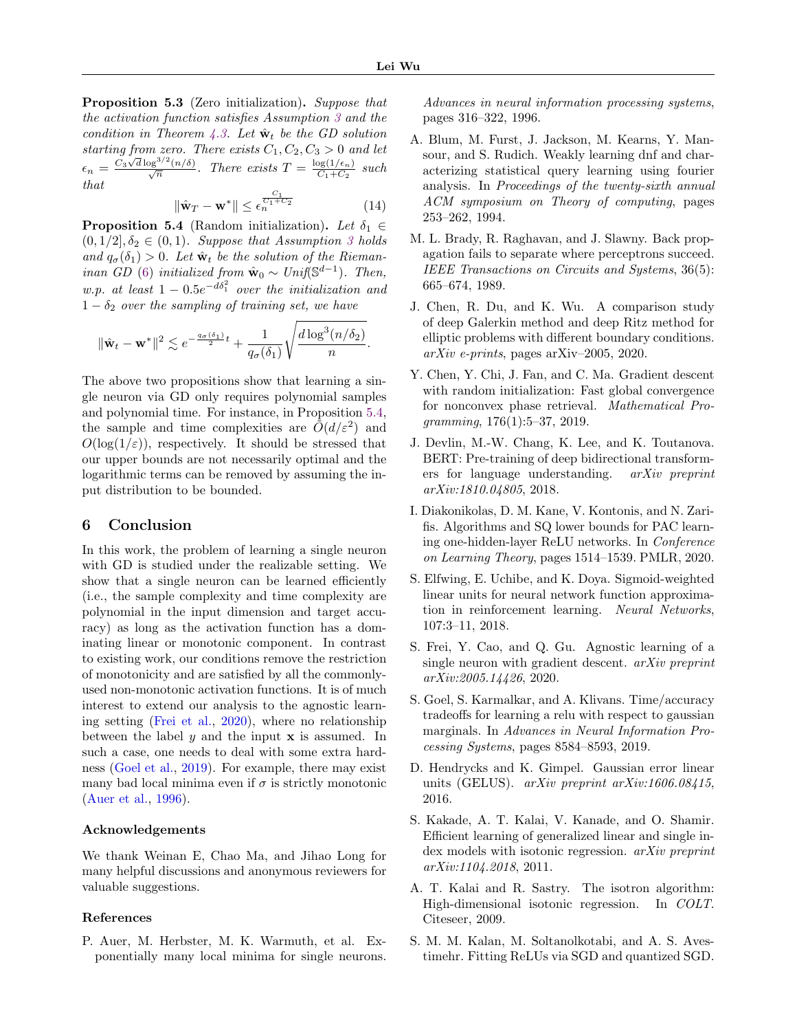<span id="page-8-5"></span>Proposition 5.3 (Zero initialization). Suppose that the activation function satisfies Assumption [3](#page-7-4) and the condition in Theorem [4.3.](#page-4-2) Let  $\hat{\mathbf{w}}_t$  be the GD solution starting from zero. There exists  $C_1, C_2, C_3 > 0$  and let  $\epsilon_n = \frac{C_3 \sqrt{d} \log^{3/2}(n/\delta)}{\sqrt{n}}$ . There exists  $T = \frac{\log(1/\epsilon_n)}{C_1 + C_2}$  $rac{c_1+c_n}{c_1+c_2}$  such that  $c_1$ 

$$
\|\hat{\mathbf{w}}_T - \mathbf{w}^*\| \le \epsilon_n^{\frac{C_1}{C_1 + C_2}} \tag{14}
$$

<span id="page-8-6"></span>**Proposition 5.4** (Random initialization). Let  $\delta_1 \in$  $(0, 1/2], \delta_2 \in (0, 1)$ . Suppose that Assumption [3](#page-7-4) holds and  $q_{\sigma}(\delta_1) > 0$ . Let  $\hat{\mathbf{w}}_t$  be the solution of the Rieman-inan GD [\(6\)](#page-6-5) initialized from  $\hat{\mathbf{w}}_0 \sim Unif(\mathbb{S}^{d-1})$ . Then, w.p. at least  $1 - 0.5e^{-d\delta_1^2}$  over the initialization and  $1 - \delta_2$  over the sampling of training set, we have

$$
\|\hat{\mathbf{w}}_t - \mathbf{w}^*\|^2 \lesssim e^{-\frac{q_\sigma(\delta_1)}{2}t} + \frac{1}{q_\sigma(\delta_1)}\sqrt{\frac{d\log^3(n/\delta_2)}{n}}.
$$

The above two propositions show that learning a single neuron via GD only requires polynomial samples and polynomial time. For instance, in Proposition [5.4,](#page-8-6) the sample and time complexities are  $\tilde{O}(d/\varepsilon^2)$  and  $O(\log(1/\varepsilon))$ , respectively. It should be stressed that our upper bounds are not necessarily optimal and the logarithmic terms can be removed by assuming the input distribution to be bounded.

## 6 Conclusion

In this work, the problem of learning a single neuron with GD is studied under the realizable setting. We show that a single neuron can be learned efficiently (i.e., the sample complexity and time complexity are polynomial in the input dimension and target accuracy) as long as the activation function has a dominating linear or monotonic component. In contrast to existing work, our conditions remove the restriction of monotonicity and are satisfied by all the commonlyused non-monotonic activation functions. It is of much interest to extend our analysis to the agnostic learning setting [\(Frei et al.,](#page-8-0) [2020\)](#page-8-0), where no relationship between the label  $y$  and the input  $x$  is assumed. In such a case, one needs to deal with some extra hardness [\(Goel et al.,](#page-8-15) [2019\)](#page-8-15). For example, there may exist many bad local minima even if  $\sigma$  is strictly monotonic [\(Auer et al.,](#page-8-1) [1996\)](#page-8-1).

#### Acknowledgements

We thank Weinan E, Chao Ma, and Jihao Long for many helpful discussions and anonymous reviewers for valuable suggestions.

#### References

<span id="page-8-1"></span>P. Auer, M. Herbster, M. K. Warmuth, et al. Exponentially many local minima for single neurons. Advances in neural information processing systems, pages 316–322, 1996.

- <span id="page-8-12"></span>A. Blum, M. Furst, J. Jackson, M. Kearns, Y. Mansour, and S. Rudich. Weakly learning dnf and characterizing statistical query learning using fourier analysis. In Proceedings of the twenty-sixth annual ACM symposium on Theory of computing, pages 253–262, 1994.
- <span id="page-8-3"></span>M. L. Brady, R. Raghavan, and J. Slawny. Back propagation fails to separate where perceptrons succeed. IEEE Transactions on Circuits and Systems, 36(5): 665–674, 1989.
- <span id="page-8-9"></span>J. Chen, R. Du, and K. Wu. A comparison study of deep Galerkin method and deep Ritz method for elliptic problems with different boundary conditions.  $arXiv$  e-prints, pages arXiv–2005, 2020.
- <span id="page-8-14"></span>Y. Chen, Y. Chi, J. Fan, and C. Ma. Gradient descent with random initialization: Fast global convergence for nonconvex phase retrieval. Mathematical Programming, 176(1):5–37, 2019.
- <span id="page-8-2"></span>J. Devlin, M.-W. Chang, K. Lee, and K. Toutanova. BERT: Pre-training of deep bidirectional transformers for language understanding. arXiv preprint arXiv:1810.04805, 2018.
- <span id="page-8-13"></span>I. Diakonikolas, D. M. Kane, V. Kontonis, and N. Zarifis. Algorithms and SQ lower bounds for PAC learning one-hidden-layer ReLU networks. In Conference on Learning Theory, pages 1514–1539. PMLR, 2020.
- <span id="page-8-7"></span>S. Elfwing, E. Uchibe, and K. Doya. Sigmoid-weighted linear units for neural network function approximation in reinforcement learning. Neural Networks, 107:3–11, 2018.
- <span id="page-8-0"></span>S. Frei, Y. Cao, and Q. Gu. Agnostic learning of a single neuron with gradient descent. arXiv preprint arXiv:2005.14426, 2020.
- <span id="page-8-15"></span>S. Goel, S. Karmalkar, and A. Klivans. Time/accuracy tradeoffs for learning a relu with respect to gaussian marginals. In Advances in Neural Information Processing Systems, pages 8584–8593, 2019.
- <span id="page-8-8"></span>D. Hendrycks and K. Gimpel. Gaussian error linear units (GELUS). arXiv preprint arXiv:1606.08415, 2016.
- <span id="page-8-11"></span>S. Kakade, A. T. Kalai, V. Kanade, and O. Shamir. Efficient learning of generalized linear and single index models with isotonic regression. *arXiv preprint* arXiv:1104.2018, 2011.
- <span id="page-8-10"></span>A. T. Kalai and R. Sastry. The isotron algorithm: High-dimensional isotonic regression. In COLT. Citeseer, 2009.
- <span id="page-8-4"></span>S. M. M. Kalan, M. Soltanolkotabi, and A. S. Avestimehr. Fitting ReLUs via SGD and quantized SGD.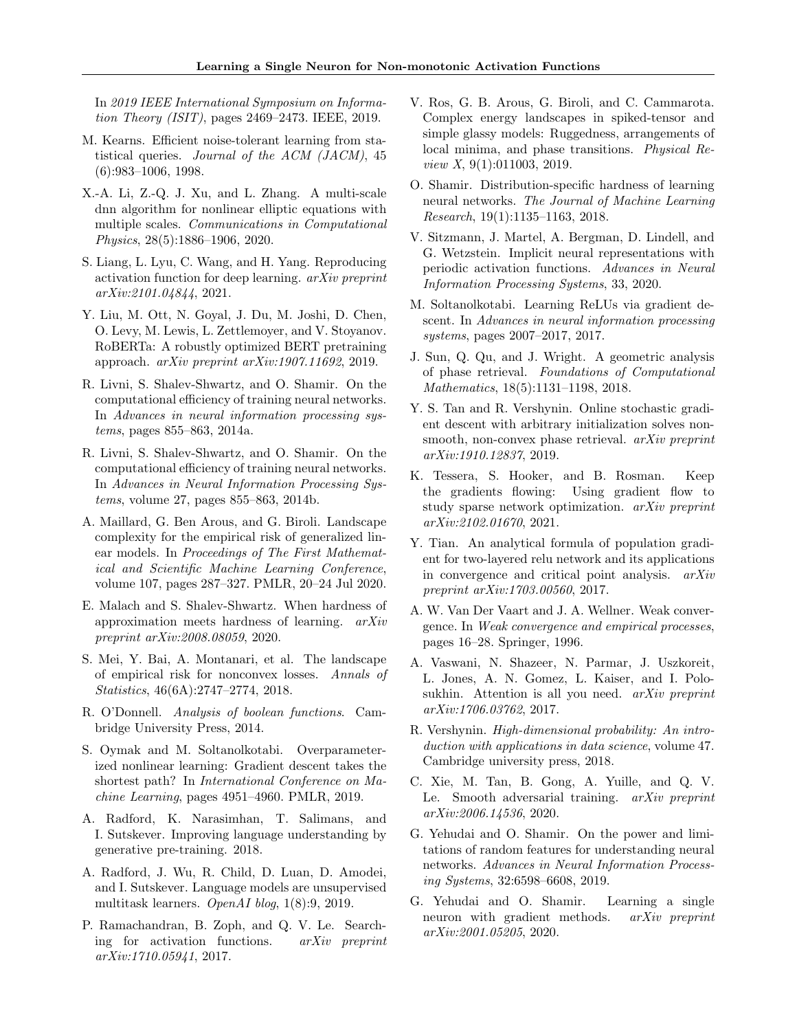In 2019 IEEE International Symposium on Information Theory (ISIT), pages 2469–2473. IEEE, 2019.

- <span id="page-9-20"></span>M. Kearns. Efficient noise-tolerant learning from statistical queries. Journal of the ACM (JACM), 45 (6):983–1006, 1998.
- <span id="page-9-17"></span>X.-A. Li, Z.-Q. J. Xu, and L. Zhang. A multi-scale dnn algorithm for nonlinear elliptic equations with multiple scales. Communications in Computational Physics, 28(5):1886–1906, 2020.
- <span id="page-9-18"></span>S. Liang, L. Lyu, C. Wang, and H. Yang. Reproducing activation function for deep learning. arXiv preprint arXiv:2101.04844, 2021.
- <span id="page-9-16"></span>Y. Liu, M. Ott, N. Goyal, J. Du, M. Joshi, D. Chen, O. Levy, M. Lewis, L. Zettlemoyer, and V. Stoyanov. RoBERTa: A robustly optimized BERT pretraining approach. arXiv preprint arXiv:1907.11692, 2019.
- <span id="page-9-10"></span>R. Livni, S. Shalev-Shwartz, and O. Shamir. On the computational efficiency of training neural networks. In Advances in neural information processing systems, pages 855–863, 2014a.
- <span id="page-9-2"></span>R. Livni, S. Shalev-Shwartz, and O. Shamir. On the computational efficiency of training neural networks. In Advances in Neural Information Processing Systems, volume 27, pages 855–863, 2014b.
- <span id="page-9-19"></span>A. Maillard, G. Ben Arous, and G. Biroli. Landscape complexity for the empirical risk of generalized linear models. In Proceedings of The First Mathematical and Scientific Machine Learning Conference, volume 107, pages 287–327. PMLR, 20–24 Jul 2020.
- <span id="page-9-21"></span>E. Malach and S. Shalev-Shwartz. When hardness of approximation meets hardness of learning. arXiv preprint arXiv:2008.08059, 2020.
- <span id="page-9-3"></span>S. Mei, Y. Bai, A. Montanari, et al. The landscape of empirical risk for nonconvex losses. Annals of Statistics, 46(6A):2747–2774, 2018.
- <span id="page-9-25"></span>R. O'Donnell. Analysis of boolean functions. Cambridge University Press, 2014.
- <span id="page-9-22"></span>S. Oymak and M. Soltanolkotabi. Overparameterized nonlinear learning: Gradient descent takes the shortest path? In International Conference on Machine Learning, pages 4951–4960. PMLR, 2019.
- <span id="page-9-6"></span>A. Radford, K. Narasimhan, T. Salimans, and I. Sutskever. Improving language understanding by generative pre-training. 2018.
- <span id="page-9-7"></span>A. Radford, J. Wu, R. Child, D. Luan, D. Amodei, and I. Sutskever. Language models are unsupervised multitask learners. OpenAI blog, 1(8):9, 2019.
- <span id="page-9-12"></span>P. Ramachandran, B. Zoph, and Q. V. Le. Searching for activation functions. arXiv preprint arXiv:1710.05941, 2017.
- <span id="page-9-9"></span>V. Ros, G. B. Arous, G. Biroli, and C. Cammarota. Complex energy landscapes in spiked-tensor and simple glassy models: Ruggedness, arrangements of local minima, and phase transitions. Physical Review X, 9(1):011003, 2019.
- <span id="page-9-1"></span>O. Shamir. Distribution-specific hardness of learning neural networks. The Journal of Machine Learning Research, 19(1):1135–1163, 2018.
- <span id="page-9-8"></span>V. Sitzmann, J. Martel, A. Bergman, D. Lindell, and G. Wetzstein. Implicit neural representations with periodic activation functions. Advances in Neural Information Processing Systems, 33, 2020.
- <span id="page-9-11"></span>M. Soltanolkotabi. Learning ReLUs via gradient descent. In Advances in neural information processing systems, pages 2007–2017, 2017.
- <span id="page-9-23"></span>J. Sun, Q. Qu, and J. Wright. A geometric analysis of phase retrieval. Foundations of Computational Mathematics, 18(5):1131–1198, 2018.
- <span id="page-9-24"></span>Y. S. Tan and R. Vershynin. Online stochastic gradient descent with arbitrary initialization solves nonsmooth, non-convex phase retrieval. *arXiv preprint* arXiv:1910.12837, 2019.
- <span id="page-9-14"></span>K. Tessera, S. Hooker, and B. Rosman. Keep the gradients flowing: Using gradient flow to study sparse network optimization. arXiv preprint arXiv:2102.01670, 2021.
- <span id="page-9-5"></span>Y. Tian. An analytical formula of population gradient for two-layered relu network and its applications in convergence and critical point analysis. arXiv preprint arXiv:1703.00560, 2017.
- <span id="page-9-27"></span>A. W. Van Der Vaart and J. A. Wellner. Weak convergence. In Weak convergence and empirical processes, pages 16–28. Springer, 1996.
- <span id="page-9-15"></span>A. Vaswani, N. Shazeer, N. Parmar, J. Uszkoreit, L. Jones, A. N. Gomez, L. Kaiser, and I. Polosukhin. Attention is all you need. arXiv preprint arXiv:1706.03762, 2017.
- <span id="page-9-26"></span>R. Vershynin. High-dimensional probability: An introduction with applications in data science, volume 47. Cambridge university press, 2018.
- <span id="page-9-13"></span>C. Xie, M. Tan, B. Gong, A. Yuille, and Q. V. Le. Smooth adversarial training. arXiv preprint arXiv:2006.14536, 2020.
- <span id="page-9-0"></span>G. Yehudai and O. Shamir. On the power and limitations of random features for understanding neural networks. Advances in Neural Information Processing Systems, 32:6598–6608, 2019.
- <span id="page-9-4"></span>G. Yehudai and O. Shamir. Learning a single neuron with gradient methods. *arXiv preprint* arXiv:2001.05205, 2020.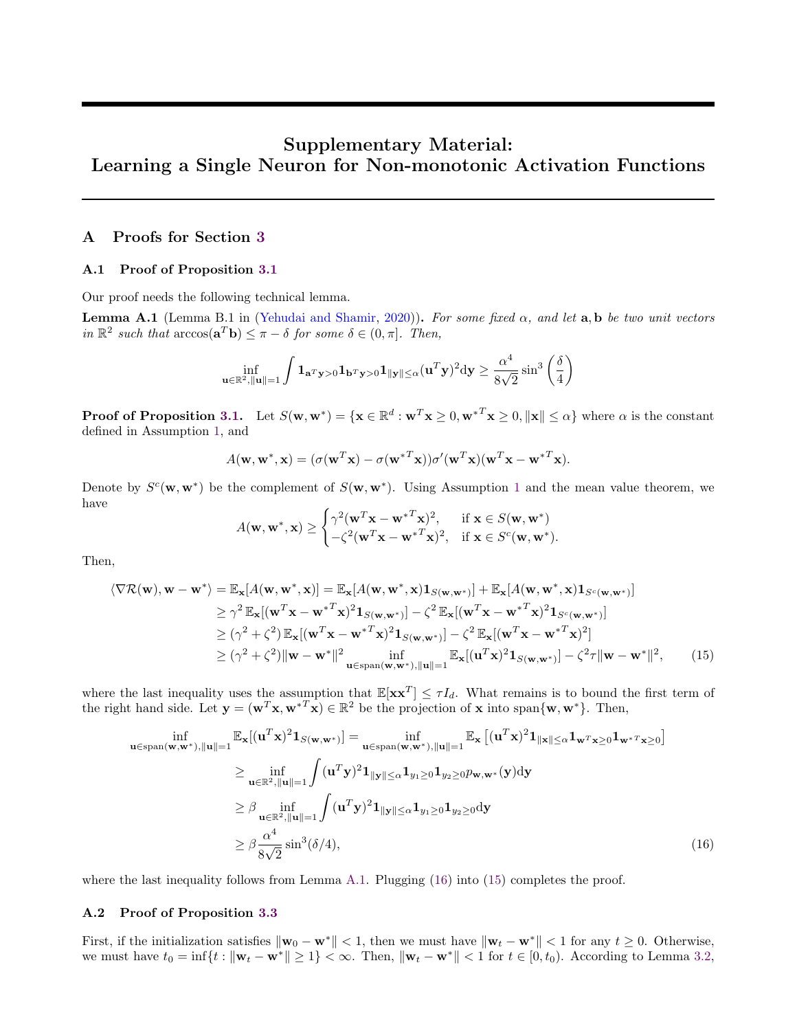# Supplementary Material: Learning a Single Neuron for Non-monotonic Activation Functions

# <span id="page-10-0"></span>A Proofs for Section [3](#page-3-3)

#### A.1 Proof of Proposition [3.1](#page-3-2)

Our proof needs the following technical lemma.

<span id="page-10-2"></span>**Lemma A.1** (Lemma B.1 in [\(Yehudai and Shamir,](#page-9-4) [2020\)](#page-9-4)). For some fixed  $\alpha$ , and let  $\mathbf{a}, \mathbf{b}$  be two unit vectors in  $\mathbb{R}^2$  such that  $\arccos(\mathbf{a}^T \mathbf{b}) \leq \pi - \delta$  for some  $\delta \in (0, \pi]$ . Then,

$$
\inf_{\mathbf{u}\in\mathbb{R}^2, \|\mathbf{u}\|=1} \int \mathbf{1}_{\mathbf{a}^T\mathbf{y}>0} \mathbf{1}_{\mathbf{b}^T\mathbf{y}>0} \mathbf{1}_{\|\mathbf{y}\|\leq \alpha} (\mathbf{u}^T\mathbf{y})^2 \mathrm{d}\mathbf{y} \geq \frac{\alpha^4}{8\sqrt{2}}\sin^3\left(\frac{\delta}{4}\right)
$$

**Proof of Proposition [3.1.](#page-3-2)** Let  $S(\mathbf{w}, \mathbf{w}^*) = {\mathbf{x} \in \mathbb{R}^d : \mathbf{w}^T \mathbf{x} \geq 0, \mathbf{w}^{*T} \mathbf{x} \geq 0, ||\mathbf{x}|| \leq \alpha}$  where  $\alpha$  is the constant defined in Assumption [1,](#page-3-1) and

$$
A(\mathbf{w}, \mathbf{w}^*, \mathbf{x}) = (\sigma(\mathbf{w}^T \mathbf{x}) - \sigma(\mathbf{w}^{*T} \mathbf{x})) \sigma'(\mathbf{w}^T \mathbf{x}) (\mathbf{w}^T \mathbf{x} - \mathbf{w}^{*T} \mathbf{x}).
$$

Denote by  $S^c(\mathbf{w}, \mathbf{w}^*)$  be the complement of  $S(\mathbf{w}, \mathbf{w}^*)$ . Using Assumption [1](#page-3-1) and the mean value theorem, we have

<span id="page-10-4"></span><span id="page-10-3"></span>
$$
A(\mathbf{w}, \mathbf{w}^*, \mathbf{x}) \ge \begin{cases} \gamma^2 (\mathbf{w}^T \mathbf{x} - \mathbf{w}^{*T} \mathbf{x})^2, & \text{if } \mathbf{x} \in S(\mathbf{w}, \mathbf{w}^*)\\ -\zeta^2 (\mathbf{w}^T \mathbf{x} - \mathbf{w}^{*T} \mathbf{x})^2, & \text{if } \mathbf{x} \in S^c(\mathbf{w}, \mathbf{w}^*). \end{cases}
$$

Then,

$$
\langle \nabla \mathcal{R}(\mathbf{w}), \mathbf{w} - \mathbf{w}^* \rangle = \mathbb{E}_{\mathbf{x}}[A(\mathbf{w}, \mathbf{w}^*, \mathbf{x})] = \mathbb{E}_{\mathbf{x}}[A(\mathbf{w}, \mathbf{w}^*, \mathbf{x})\mathbf{1}_{S(\mathbf{w}, \mathbf{w}^*)}] + \mathbb{E}_{\mathbf{x}}[A(\mathbf{w}, \mathbf{w}^*, \mathbf{x})\mathbf{1}_{S^c(\mathbf{w}, \mathbf{w}^*)}]
$$
  
\n
$$
\geq \gamma^2 \mathbb{E}_{\mathbf{x}}[(\mathbf{w}^T \mathbf{x} - \mathbf{w}^{*T} \mathbf{x})^2 \mathbf{1}_{S(\mathbf{w}, \mathbf{w}^*)}] - \zeta^2 \mathbb{E}_{\mathbf{x}}[(\mathbf{w}^T \mathbf{x} - \mathbf{w}^{*T} \mathbf{x})^2 \mathbf{1}_{S^c(\mathbf{w}, \mathbf{w}^*)}]
$$
  
\n
$$
\geq (\gamma^2 + \zeta^2) \mathbb{E}_{\mathbf{x}}[(\mathbf{w}^T \mathbf{x} - \mathbf{w}^{*T} \mathbf{x})^2 \mathbf{1}_{S(\mathbf{w}, \mathbf{w}^*)}] - \zeta^2 \mathbb{E}_{\mathbf{x}}[(\mathbf{w}^T \mathbf{x} - \mathbf{w}^{*T} \mathbf{x})^2]
$$
  
\n
$$
\geq (\gamma^2 + \zeta^2) \|\mathbf{w} - \mathbf{w}^*\|^2 \inf_{\mathbf{u} \in \text{span}(\mathbf{w}, \mathbf{w}^*), \|\mathbf{u}\| = 1} \mathbb{E}_{\mathbf{x}}[(\mathbf{u}^T \mathbf{x})^2 \mathbf{1}_{S(\mathbf{w}, \mathbf{w}^*)}] - \zeta^2 \tau \|\mathbf{w} - \mathbf{w}^*\|^2,
$$
 (15)

where the last inequality uses the assumption that  $\mathbb{E}[\mathbf{x}\mathbf{x}^T] \leq \tau I_d$ . What remains is to bound the first term of the right hand side. Let  $\mathbf{y} = (\mathbf{w}^T \mathbf{x}, \mathbf{w}^{*T} \mathbf{x}) \in \mathbb{R}^2$  be the projection of **x** into span $\{\mathbf{w}, \mathbf{w}^*\}$ . Then,

$$
\inf_{\mathbf{u}\in\text{span}(\mathbf{w},\mathbf{w}^*),\|\mathbf{u}\|=1} \mathbb{E}_{\mathbf{x}}[(\mathbf{u}^T\mathbf{x})^2\mathbf{1}_{S(\mathbf{w},\mathbf{w}^*)}]=\inf_{\mathbf{u}\in\text{span}(\mathbf{w},\mathbf{w}^*),\|\mathbf{u}\|=1} \mathbb{E}_{\mathbf{x}}[(\mathbf{u}^T\mathbf{x})^2\mathbf{1}_{\|\mathbf{x}\|\leq\alpha}\mathbf{1}_{\mathbf{w}^T\mathbf{x}\geq0}\mathbf{1}_{\mathbf{w}^*\mathbf{x}\geq0}]
$$
\n
$$
\geq \inf_{\mathbf{u}\in\mathbb{R}^2,\|\mathbf{u}\|=1} \int (\mathbf{u}^T\mathbf{y})^2\mathbf{1}_{\|\mathbf{y}\|\leq\alpha}\mathbf{1}_{y_1\geq0}\mathbf{1}_{y_2\geq0}p_{\mathbf{w},\mathbf{w}^*}(\mathbf{y})\mathrm{d}\mathbf{y}
$$
\n
$$
\geq \beta \inf_{\mathbf{u}\in\mathbb{R}^2,\|\mathbf{u}\|=1} \int (\mathbf{u}^T\mathbf{y})^2\mathbf{1}_{\|\mathbf{y}\|\leq\alpha}\mathbf{1}_{y_1\geq0}\mathbf{1}_{y_2\geq0}\mathrm{d}\mathbf{y}
$$
\n
$$
\geq \beta \frac{\alpha^4}{8\sqrt{2}}\sin^3(\delta/4), \tag{16}
$$

where the last inequality follows from Lemma [A.1.](#page-10-2) Plugging [\(16\)](#page-10-3) into [\(15\)](#page-10-4) completes the proof.

#### <span id="page-10-1"></span>A.2 Proof of Proposition [3.3](#page-3-0)

First, if the initialization satisfies  $\|\mathbf{w}_0 - \mathbf{w}^*\| < 1$ , then we must have  $\|\mathbf{w}_t - \mathbf{w}^*\| < 1$  for any  $t \geq 0$ . Otherwise, we must have  $t_0 = \inf\{t : ||\mathbf{w}_t - \mathbf{w}^*|| \geq 1\} < \infty$ . Then,  $||\mathbf{w}_t - \mathbf{w}^*|| < 1$  for  $t \in [0, t_0)$ . According to Lemma [3.2,](#page-3-4)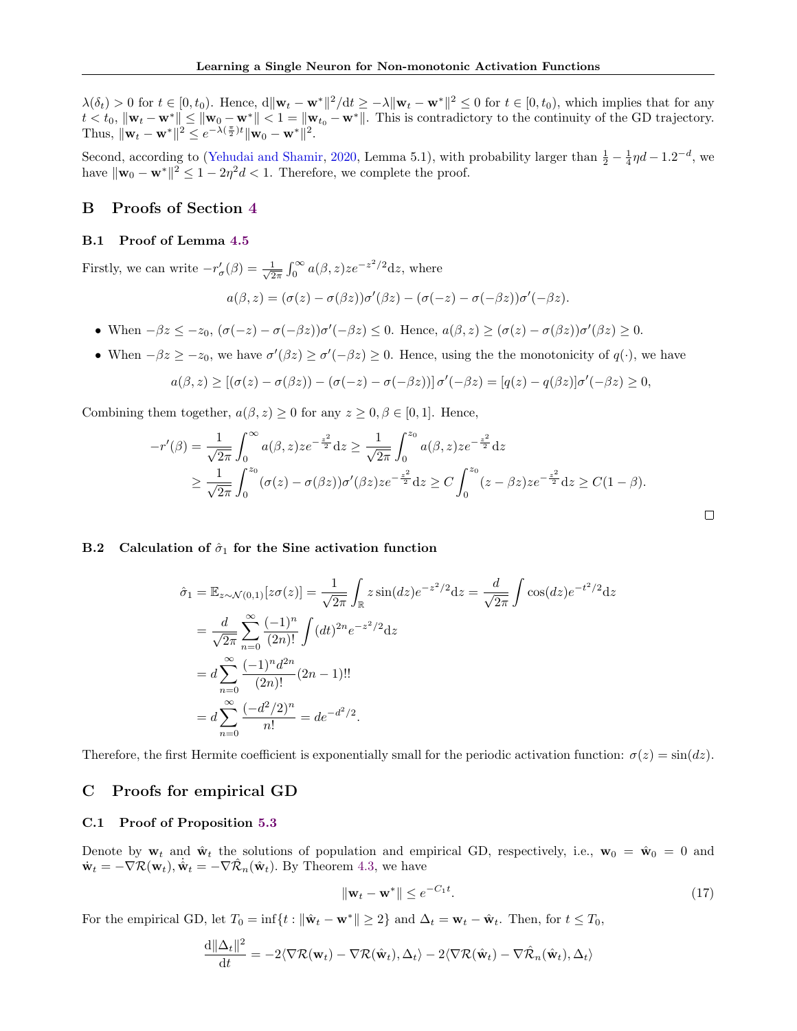$\lambda(\delta_t) > 0$  for  $t \in [0, t_0)$ . Hence,  $d\|\mathbf{w}_t - \mathbf{w}^*\|^2/dt \geq -\lambda \|\mathbf{w}_t - \mathbf{w}^*\|^2 \leq 0$  for  $t \in [0, t_0)$ , which implies that for any  $t < t_0$ ,  $\|\mathbf{w}_t - \mathbf{w}^*\| \le \|\mathbf{w}_0 - \mathbf{w}^*\| < 1 = \|\mathbf{w}_{t_0} - \mathbf{w}^*\|$ . This is contradictory to the continuity of the GD trajectory. Thus,  $\|\mathbf{w}_t - \mathbf{w}^*\|^2 \leq e^{-\lambda(\frac{\pi}{2})t} \|\mathbf{w}_0 - \mathbf{w}^*\|^2$ .

Second, according to [\(Yehudai and Shamir,](#page-9-4) [2020,](#page-9-4) Lemma 5.1), with probability larger than  $\frac{1}{2} - \frac{1}{4}\eta d - 1.2^{-d}$ , we have  $\|\mathbf{w}_0 - \mathbf{w}^*\|^2 \le 1 - 2\eta^2 d < 1$ . Therefore, we complete the proof.

# B Proofs of Section [4](#page-4-4)

#### B.1 Proof of Lemma [4.5](#page-5-4)

Firstly, we can write  $-r'_{\sigma}(\beta) = \frac{1}{\sqrt{2}}$  $\frac{1}{2\pi} \int_0^\infty a(\beta, z) z e^{-z^2/2} dz$ , where

$$
a(\beta, z) = (\sigma(z) - \sigma(\beta z))\sigma'(\beta z) - (\sigma(-z) - \sigma(-\beta z))\sigma'(-\beta z).
$$

- When  $-\beta z \leq -z_0$ ,  $(\sigma(-z) \sigma(-\beta z))\sigma'(-\beta z) \leq 0$ . Hence,  $a(\beta, z) \geq (\sigma(z) \sigma(\beta z))\sigma'(\beta z) \geq 0$ .
- When  $-\beta z \geq -z_0$ , we have  $\sigma'(\beta z) \geq \sigma'(-\beta z) \geq 0$ . Hence, using the the monotonicity of  $q(\cdot)$ , we have

$$
a(\beta, z) \geq [(\sigma(z) - \sigma(\beta z)) - (\sigma(-z) - \sigma(-\beta z))] \sigma'(-\beta z) = [q(z) - q(\beta z)]\sigma'(-\beta z) \geq 0,
$$

Combining them together,  $a(\beta, z) \geq 0$  for any  $z \geq 0, \beta \in [0, 1]$ . Hence,

$$
-r'(\beta) = \frac{1}{\sqrt{2\pi}} \int_0^\infty a(\beta, z) z e^{-\frac{z^2}{2}} dz \ge \frac{1}{\sqrt{2\pi}} \int_0^{z_0} a(\beta, z) z e^{-\frac{z^2}{2}} dz
$$
  
 
$$
\ge \frac{1}{\sqrt{2\pi}} \int_0^{z_0} (\sigma(z) - \sigma(\beta z)) \sigma'(\beta z) z e^{-\frac{z^2}{2}} dz \ge C \int_0^{z_0} (z - \beta z) z e^{-\frac{z^2}{2}} dz \ge C(1 - \beta).
$$

#### <span id="page-11-0"></span>B.2 Calculation of  $\hat{\sigma}_1$  for the Sine activation function

$$
\hat{\sigma}_1 = \mathbb{E}_{z \sim \mathcal{N}(0,1)}[z\sigma(z)] = \frac{1}{\sqrt{2\pi}} \int_{\mathbb{R}} z \sin(dz) e^{-z^2/2} dz = \frac{d}{\sqrt{2\pi}} \int \cos(dz) e^{-t^2/2} dz
$$
  
\n
$$
= \frac{d}{\sqrt{2\pi}} \sum_{n=0}^{\infty} \frac{(-1)^n}{(2n)!} \int (dt)^{2n} e^{-z^2/2} dz
$$
  
\n
$$
= d \sum_{n=0}^{\infty} \frac{(-1)^n d^{2n}}{(2n)!} (2n-1)!!
$$
  
\n
$$
= d \sum_{n=0}^{\infty} \frac{(-d^2/2)^n}{n!} = de^{-d^2/2}.
$$

Therefore, the first Hermite coefficient is exponentially small for the periodic activation function:  $\sigma(z) = \sin(dz)$ .

# <span id="page-11-1"></span>C Proofs for empirical GD

### C.1 Proof of Proposition [5.3](#page-8-5)

Denote by  $w_t$  and  $\hat{w}_t$  the solutions of population and empirical GD, respectively, i.e.,  $w_0 = \hat{w}_0 = 0$  and  $\dot{\mathbf{w}}_t = -\nabla \mathcal{R}(\mathbf{w}_t), \dot{\hat{\mathbf{w}}}_t = -\nabla \mathcal{R}_n(\hat{\mathbf{w}}_t)$ . By Theorem [4.3,](#page-4-2) we have

<span id="page-11-2"></span>
$$
\|\mathbf{w}_t - \mathbf{w}^*\| \le e^{-C_1 t}.\tag{17}
$$

 $\Box$ 

For the empirical GD, let  $T_0 = \inf\{t : \|\hat{\mathbf{w}}_t - \mathbf{w}^*\| \geq 2\}$  and  $\Delta_t = \mathbf{w}_t - \hat{\mathbf{w}}_t$ . Then, for  $t \leq T_0$ ,

$$
\frac{\mathrm{d} \|\Delta_t\|^2}{\mathrm{d}t} = -2\langle \nabla \mathcal{R}(\mathbf{w}_t) - \nabla \mathcal{R}(\hat{\mathbf{w}}_t), \Delta_t \rangle - 2\langle \nabla \mathcal{R}(\hat{\mathbf{w}}_t) - \nabla \hat{\mathcal{R}}_n(\hat{\mathbf{w}}_t), \Delta_t \rangle
$$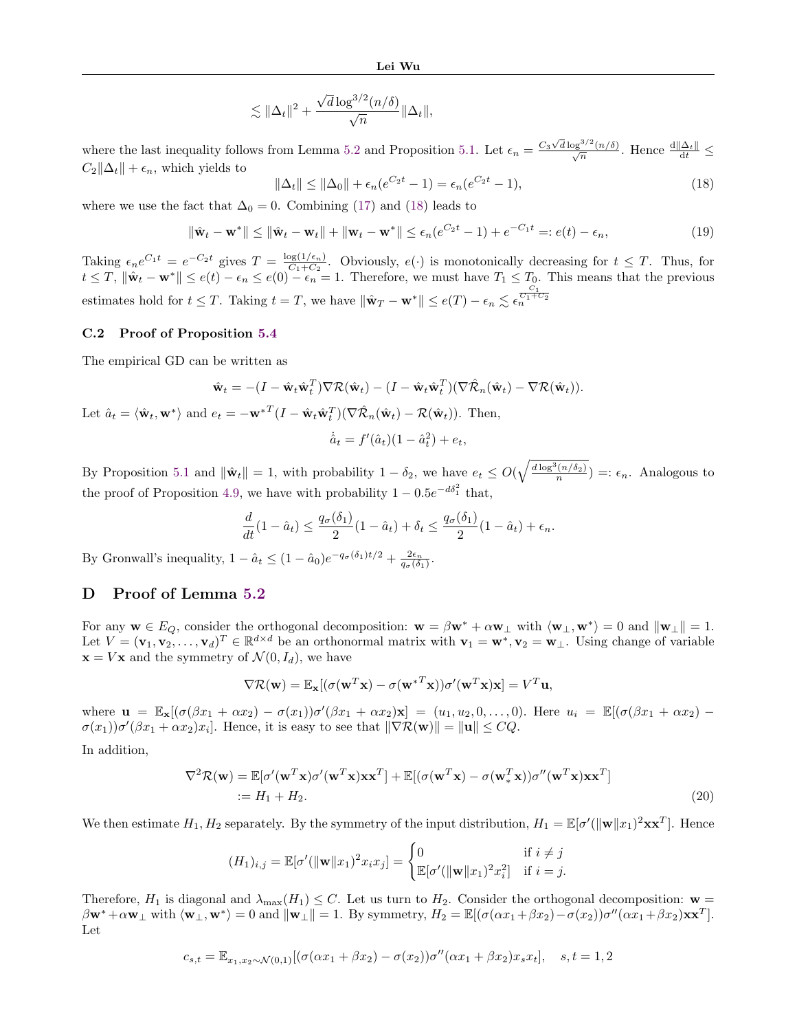$$
\lesssim \|\Delta_t\|^2 + \frac{\sqrt{d}\log^{3/2}(n/\delta)}{\sqrt{n}}\|\Delta_t\|,
$$

where the last inequality follows from Lemma [5.2](#page-7-3) and Proposition [5.1.](#page-7-1) Let  $\epsilon_n = \frac{C_3 \sqrt{d} \log^{3/2}(n/\delta)}{\sqrt{n}}$ . Hence  $\frac{d||\Delta_t||}{dt} \le$  $C_2\|\Delta_t\| + \epsilon_n$ , which yields to

<span id="page-12-1"></span>
$$
\|\Delta_t\| \le \|\Delta_0\| + \epsilon_n (e^{C_2 t} - 1) = \epsilon_n (e^{C_2 t} - 1),\tag{18}
$$

where we use the fact that  $\Delta_0 = 0$ . Combining [\(17\)](#page-11-2) and [\(18\)](#page-12-1) leads to

$$
\|\hat{\mathbf{w}}_t - \mathbf{w}^*\| \le \|\hat{\mathbf{w}}_t - \mathbf{w}_t\| + \|\mathbf{w}_t - \mathbf{w}^*\| \le \epsilon_n(e^{C_2t} - 1) + e^{-C_1t} =: e(t) - \epsilon_n,
$$
\n(19)

Taking  $\epsilon_n e^{C_1 t} = e^{-C_2 t}$  gives  $T = \frac{\log(1/\epsilon_n)}{C_1+C_2}$  $\frac{\log(1/\epsilon_n)}{C_1+C_2}$ . Obviously,  $e(\cdot)$  is monotonically decreasing for  $t \leq T$ . Thus, for  $t \leq T$ ,  $\|\hat{\mathbf{w}}_t - \mathbf{w}^*\| \leq e(t) - \epsilon_n \leq e(0) - \epsilon_n = 1$ . Therefore, we must have  $T_1 \leq T_0$ . This means that the previous estimates hold for  $t \leq T$ . Taking  $t = T$ , we have  $\|\hat{\mathbf{w}}_T - \mathbf{w}^*\| \leq e(T) - \epsilon_n \lesssim \epsilon_n^{\frac{C_1}{C_1 + C_2}}$ 

#### C.2 Proof of Proposition [5.4](#page-8-6)

The empirical GD can be written as

$$
\hat{\mathbf{w}}_t = -(I - \hat{\mathbf{w}}_t \hat{\mathbf{w}}_t^T) \nabla \mathcal{R}(\hat{\mathbf{w}}_t) - (I - \hat{\mathbf{w}}_t \hat{\mathbf{w}}_t^T) (\nabla \hat{\mathcal{R}}_n(\hat{\mathbf{w}}_t) - \nabla \mathcal{R}(\hat{\mathbf{w}}_t)).
$$
  
Let  $\hat{a}_t = \langle \hat{\mathbf{w}}_t, \mathbf{w}^* \rangle$  and  $e_t = -\mathbf{w}^{*T} (I - \hat{\mathbf{w}}_t \hat{\mathbf{w}}_t^T) (\nabla \hat{\mathcal{R}}_n(\hat{\mathbf{w}}_t) - \mathcal{R}(\hat{\mathbf{w}}_t)).$  Then,  

$$
\dot{\hat{a}}_t = f'(\hat{a}_t)(1 - \hat{a}_t^2) + e_t,
$$

By Proposition [5.1](#page-7-1) and  $\|\hat{\mathbf{w}}_t\| = 1$ , with probability  $1 - \delta_2$ , we have  $e_t \le O(\sqrt{\frac{d \log^3(n/\delta_2)}{n}}) =: \epsilon_n$ . Analogous to the proof of Proposition [4.9,](#page-7-0) we have with probability  $1 - 0.5e^{-d\delta_1^2}$  that,

$$
\frac{d}{dt}(1 - \hat{a}_t) \le \frac{q_\sigma(\delta_1)}{2}(1 - \hat{a}_t) + \delta_t \le \frac{q_\sigma(\delta_1)}{2}(1 - \hat{a}_t) + \epsilon_n.
$$

By Gronwall's inequality,  $1 - \hat{a}_t \leq (1 - \hat{a}_0)e^{-q_\sigma(\delta_1)t/2} + \frac{2\epsilon_n}{q_\sigma(\delta_1)}$ .

# <span id="page-12-0"></span>D Proof of Lemma [5.2](#page-7-3)

For any  $\mathbf{w} \in E_Q$ , consider the orthogonal decomposition:  $\mathbf{w} = \beta \mathbf{w}^* + \alpha \mathbf{w}_{\perp}$  with  $\langle \mathbf{w}_{\perp}, \mathbf{w}^* \rangle = 0$  and  $\|\mathbf{w}_{\perp}\| = 1$ . Let  $V = (\mathbf{v}_1, \mathbf{v}_2, \dots, \mathbf{v}_d)^T \in \mathbb{R}^{d \times d}$  be an orthonormal matrix with  $\mathbf{v}_1 = \mathbf{w}^*, \mathbf{v}_2 = \mathbf{w}_\perp$ . Using change of variable  $\mathbf{x} = V \mathbf{x}$  and the symmetry of  $\mathcal{N}(0, I_d)$ , we have

$$
\nabla \mathcal{R}(\mathbf{w}) = \mathbb{E}_{\mathbf{x}}[(\sigma(\mathbf{w}^T \mathbf{x}) - \sigma(\mathbf{w}^{*T} \mathbf{x})) \sigma'(\mathbf{w}^T \mathbf{x}) \mathbf{x}] = V^T \mathbf{u},
$$

where  $\mathbf{u} = \mathbb{E}_{\mathbf{x}}[(\sigma(\beta x_1 + \alpha x_2) - \sigma(x_1))\sigma'(\beta x_1 + \alpha x_2)\mathbf{x}] = (u_1, u_2, 0, \dots, 0)$ . Here  $u_i = \mathbb{E}[(\sigma(\beta x_1 + \alpha x_2) - \sigma(x_1))\sigma'(\beta x_1 + \alpha x_2)\mathbf{x}] = (u_1, u_2, 0, \dots, 0)$ .  $\sigma(x_1)\sigma'(\beta x_1 + \alpha x_2)x_i$ . Hence, it is easy to see that  $\|\nabla \mathcal{R}(\mathbf{w})\| = \|\mathbf{u}\| \le CQ$ .

In addition,

$$
\nabla^2 \mathcal{R}(\mathbf{w}) = \mathbb{E}[\sigma'(\mathbf{w}^T \mathbf{x}) \sigma'(\mathbf{w}^T \mathbf{x}) \mathbf{x} \mathbf{x}^T] + \mathbb{E}[(\sigma(\mathbf{w}^T \mathbf{x}) - \sigma(\mathbf{w}_*^T \mathbf{x})) \sigma''(\mathbf{w}^T \mathbf{x}) \mathbf{x} \mathbf{x}^T]
$$
  
 :=  $H_1 + H_2$ . (20)

We then estimate  $H_1, H_2$  separately. By the symmetry of the input distribution,  $H_1 = \mathbb{E}[\sigma'(\|\mathbf{w}\|x_1)^2\mathbf{x}\mathbf{x}^T]$ . Hence

$$
(H_1)_{i,j} = \mathbb{E}[\sigma'(\|\mathbf{w}\|x_1)^2 x_i x_j] = \begin{cases} 0 & \text{if } i \neq j \\ \mathbb{E}[\sigma'(\|\mathbf{w}\|x_1)^2 x_i^2] & \text{if } i = j. \end{cases}
$$

Therefore,  $H_1$  is diagonal and  $\lambda_{\max}(H_1) \leq C$ . Let us turn to  $H_2$ . Consider the orthogonal decomposition:  $\mathbf{w} =$  $\beta \mathbf{w}^* + \alpha \mathbf{w}_\perp \text{ with } \langle \mathbf{w}_\perp, \mathbf{w}^* \rangle = 0 \text{ and } ||\mathbf{w}_\perp|| = 1.$  By symmetry,  $H_2 = \mathbb{E}[(\sigma(\alpha x_1 + \beta x_2) - \sigma(x_2))\sigma''(\alpha x_1 + \beta x_2)\mathbf{x} \mathbf{x}^T].$ Let

$$
c_{s,t} = \mathbb{E}_{x_1, x_2 \sim \mathcal{N}(0,1)}[(\sigma(\alpha x_1 + \beta x_2) - \sigma(x_2))\sigma''(\alpha x_1 + \beta x_2)x_s x_t], \quad s, t = 1, 2
$$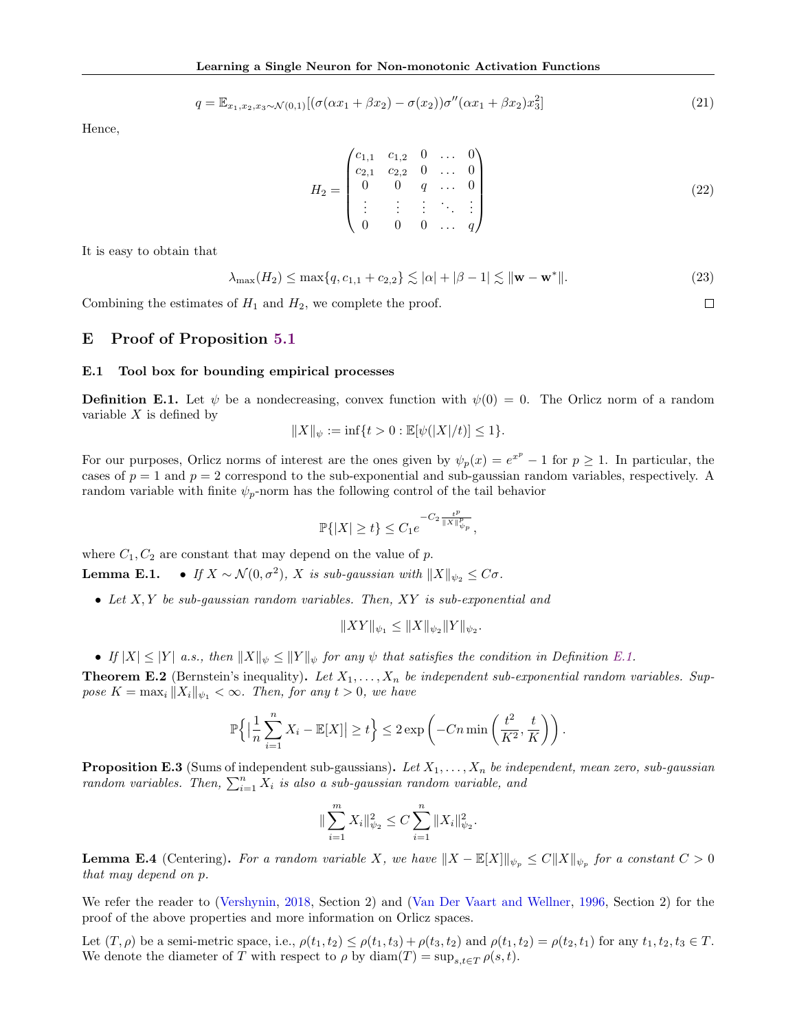$$
q = \mathbb{E}_{x_1, x_2, x_3 \sim \mathcal{N}(0,1)} [(\sigma(\alpha x_1 + \beta x_2) - \sigma(x_2))\sigma''(\alpha x_1 + \beta x_2)x_3^2]
$$
\n(21)

Hence,

$$
H_2 = \begin{pmatrix} c_{1,1} & c_{1,2} & 0 & \dots & 0 \\ c_{2,1} & c_{2,2} & 0 & \dots & 0 \\ 0 & 0 & q & \dots & 0 \\ \vdots & \vdots & \vdots & \ddots & \vdots \\ 0 & 0 & 0 & \dots & q \end{pmatrix}
$$
(22)

 $\Box$ 

It is easy to obtain that

$$
\lambda_{\max}(H_2) \le \max\{q, c_{1,1} + c_{2,2}\} \lesssim |\alpha| + |\beta - 1| \lesssim ||\mathbf{w} - \mathbf{w}^*||. \tag{23}
$$

Combining the estimates of  $H_1$  and  $H_2$ , we complete the proof.

## <span id="page-13-0"></span>E Proof of Proposition [5.1](#page-7-1)

### E.1 Tool box for bounding empirical processes

<span id="page-13-1"></span>**Definition E.1.** Let  $\psi$  be a nondecreasing, convex function with  $\psi(0) = 0$ . The Orlicz norm of a random variable  $X$  is defined by

$$
||X||_\psi:=\inf\{t>0: \mathbb{E}[\psi(|X|/t)]\leq 1\}.
$$

For our purposes, Orlicz norms of interest are the ones given by  $\psi_p(x) = e^{x^p} - 1$  for  $p \ge 1$ . In particular, the cases of  $p = 1$  and  $p = 2$  correspond to the sub-exponential and sub-gaussian random variables, respectively. A random variable with finite  $\psi_p$ -norm has the following control of the tail behavior

$$
\mathbb{P}\{|X| \ge t\} \le C_1 e^{-C_2 \frac{t^p}{\|X\|_{\psi_p}^p}},
$$

where  $C_1, C_2$  are constant that may depend on the value of p.

**Lemma E.1.** • If  $X \sim \mathcal{N}(0, \sigma^2)$ , X is sub-gaussian with  $||X||_{\psi_2} \leq C\sigma$ .

• Let  $X, Y$  be sub-gaussian random variables. Then,  $XY$  is sub-exponential and

$$
||XY||_{\psi_1} \le ||X||_{\psi_2} ||Y||_{\psi_2}.
$$

• If  $|X| \leq |Y|$  a.s., then  $||X||_{\psi} \leq ||Y||_{\psi}$  for any  $\psi$  that satisfies the condition in Definition [E.1.](#page-13-1)

<span id="page-13-2"></span>**Theorem E.2** (Bernstein's inequality). Let  $X_1, \ldots, X_n$  be independent sub-exponential random variables. Suppose  $K = \max_i ||X_i||_{\psi_1} < \infty$ . Then, for any  $t > 0$ , we have

$$
\mathbb{P}\left\{ \left| \frac{1}{n} \sum_{i=1}^{n} X_i - \mathbb{E}[X] \right| \ge t \right\} \le 2 \exp\left( -Cn \min\left( \frac{t^2}{K^2}, \frac{t}{K} \right) \right).
$$

<span id="page-13-3"></span>**Proposition E.3** (Sums of independent sub-gaussians). Let  $X_1, \ldots, X_n$  be independent, mean zero, sub-gaussian random variables. Then,  $\sum_{i=1}^{n} X_i$  is also a sub-gaussian random variable, and

$$
\|\sum_{i=1}^m X_i\|_{\psi_2}^2 \le C \sum_{i=1}^n \|X_i\|_{\psi_2}^2.
$$

**Lemma E.4** (Centering). For a random variable X, we have  $||X - \mathbb{E}[X]||_{\psi_p} \leq C||X||_{\psi_p}$  for a constant  $C > 0$ that may depend on p.

We refer the reader to [\(Vershynin,](#page-9-26) [2018,](#page-9-26) Section 2) and [\(Van Der Vaart and Wellner,](#page-9-27) [1996,](#page-9-27) Section 2) for the proof of the above properties and more information on Orlicz spaces.

Let  $(T, \rho)$  be a semi-metric space, i.e.,  $\rho(t_1, t_2) \leq \rho(t_1, t_3) + \rho(t_3, t_2)$  and  $\rho(t_1, t_2) = \rho(t_2, t_1)$  for any  $t_1, t_2, t_3 \in T$ . We denote the diameter of T with respect to  $\rho$  by  $\text{diam}(T) = \sup_{s,t \in T} \rho(s,t)$ .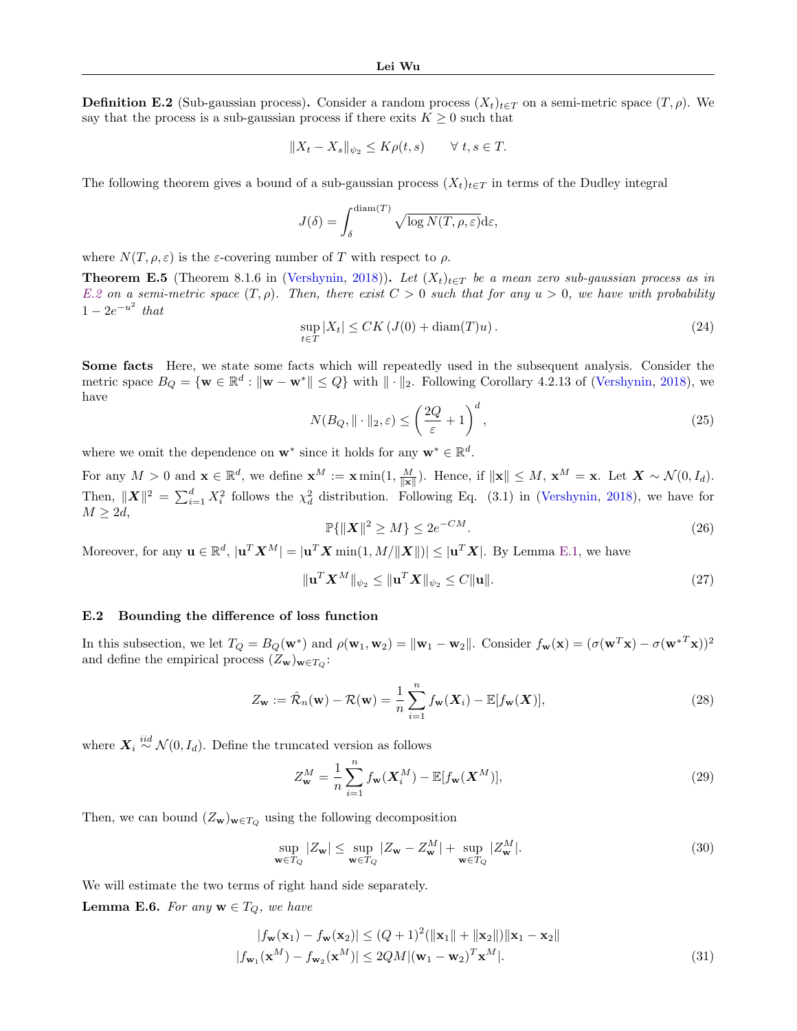<span id="page-14-0"></span>**Definition E.2** (Sub-gaussian process). Consider a random process  $(X_t)_{t\in T}$  on a semi-metric space  $(T, \rho)$ . We say that the process is a sub-gaussian process if there exits  $K \geq 0$  such that

$$
||X_t - X_s||_{\psi_2} \le K\rho(t, s) \qquad \forall \ t, s \in T.
$$

The following theorem gives a bound of a sub-gaussian process  $(X_t)_{t\in\mathcal{T}}$  in terms of the Dudley integral

$$
J(\delta) = \int_{\delta}^{\text{diam}(T)} \sqrt{\log N(T, \rho, \varepsilon)} \, \mathrm{d}\varepsilon,
$$

where  $N(T, \rho, \varepsilon)$  is the  $\varepsilon$ -covering number of T with respect to  $\rho$ .

<span id="page-14-6"></span>**Theorem E.5** (Theorem 8.1.6 in [\(Vershynin,](#page-9-26) [2018\)](#page-9-26)). Let  $(X_t)_{t\in T}$  be a mean zero sub-gaussian process as in [E.2](#page-14-0) on a semi-metric space  $(T, \rho)$ . Then, there exist  $C > 0$  such that for any  $u > 0$ , we have with probability  $1 - 2e^{-u^2}$  that

$$
\sup_{t \in T} |X_t| \le CK\left(J(0) + \text{diam}(T)u\right). \tag{24}
$$

Some facts Here, we state some facts which will repeatedly used in the subsequent analysis. Consider the metric space  $B_Q = \{ \mathbf{w} \in \mathbb{R}^d : ||\mathbf{w} - \mathbf{w}^*|| \leq Q \}$  with  $|| \cdot ||_2$ . Following Corollary 4.2.13 of [\(Vershynin,](#page-9-26) [2018\)](#page-9-26), we have

<span id="page-14-5"></span>
$$
N(B_Q, \|\cdot\|_2, \varepsilon) \le \left(\frac{2Q}{\varepsilon} + 1\right)^d,\tag{25}
$$

where we omit the dependence on  $\mathbf{w}^*$  since it holds for any  $\mathbf{w}^* \in \mathbb{R}^d$ .

For any  $M > 0$  and  $\mathbf{x} \in \mathbb{R}^d$ , we define  $\mathbf{x}^M := \mathbf{x} \min(1, \frac{M}{\|\mathbf{x}\|})$ . Hence, if  $\|\mathbf{x}\| \leq M$ ,  $\mathbf{x}^M = \mathbf{x}$ . Let  $\mathbf{X} \sim \mathcal{N}(0, I_d)$ . Then,  $||\boldsymbol{X}||^2 = \sum_{i=1}^d X_i^2$  follows the  $\chi_d^2$  distribution. Following Eq. (3.1) in [\(Vershynin,](#page-9-26) [2018\)](#page-9-26), we have for  $M \geq 2d$ ,

<span id="page-14-3"></span>
$$
\mathbb{P}\{\|\boldsymbol{X}\|^2 \ge M\} \le 2e^{-CM}.\tag{26}
$$

Moreover, for any  $\mathbf{u} \in \mathbb{R}^d$ ,  $|\mathbf{u}^T \mathbf{X}^M| = |\mathbf{u}^T \mathbf{X} \min(1, M/||\mathbf{X}||)| \leq |\mathbf{u}^T \mathbf{X}|$ . By Lemma [E.1,](#page-0-1) we have

<span id="page-14-4"></span>
$$
\|\mathbf{u}^T \mathbf{X}^M\|_{\psi_2} \le \|\mathbf{u}^T \mathbf{X}\|_{\psi_2} \le C \|\mathbf{u}\|.
$$
\n(27)

#### E.2 Bounding the difference of loss function

In this subsection, we let  $T_Q = B_Q(\mathbf{w}^*)$  and  $\rho(\mathbf{w}_1, \mathbf{w}_2) = ||\mathbf{w}_1 - \mathbf{w}_2||$ . Consider  $f_\mathbf{w}(\mathbf{x}) = (\sigma(\mathbf{w}^T \mathbf{x}) - \sigma(\mathbf{w}^{*T} \mathbf{x}))^2$ and define the empirical process  $(Z_w)_{w \in T_Q}$ :

$$
Z_{\mathbf{w}} := \hat{\mathcal{R}}_n(\mathbf{w}) - \mathcal{R}(\mathbf{w}) = \frac{1}{n} \sum_{i=1}^n f_{\mathbf{w}}(\mathbf{X}_i) - \mathbb{E}[f_{\mathbf{w}}(\mathbf{X})],
$$
\n(28)

where  $\mathbf{X}_i \stackrel{iid}{\sim} \mathcal{N}(0, I_d)$ . Define the truncated version as follows

<span id="page-14-1"></span>
$$
Z_{\mathbf{w}}^M = \frac{1}{n} \sum_{i=1}^n f_{\mathbf{w}}(\mathbf{X}_i^M) - \mathbb{E}[f_{\mathbf{w}}(\mathbf{X}^M)],
$$
\n(29)

Then, we can bound  $(Z_w)_{w \in T_Q}$  using the following decomposition

$$
\sup_{\mathbf{w}\in T_Q} |Z_{\mathbf{w}}| \le \sup_{\mathbf{w}\in T_Q} |Z_{\mathbf{w}} - Z_{\mathbf{w}}^M| + \sup_{\mathbf{w}\in T_Q} |Z_{\mathbf{w}}^M|.
$$
\n(30)

We will estimate the two terms of right hand side separately.

<span id="page-14-2"></span>**Lemma E.6.** For any  $\mathbf{w} \in T_Q$ , we have

$$
|f_{\mathbf{w}}(\mathbf{x}_1) - f_{\mathbf{w}}(\mathbf{x}_2)| \le (Q+1)^2 (||\mathbf{x}_1|| + ||\mathbf{x}_2||) ||\mathbf{x}_1 - \mathbf{x}_2||
$$
  

$$
|f_{\mathbf{w}_1}(\mathbf{x}^M) - f_{\mathbf{w}_2}(\mathbf{x}^M)| \le 2QM |(\mathbf{w}_1 - \mathbf{w}_2)^T \mathbf{x}^M|.
$$
 (31)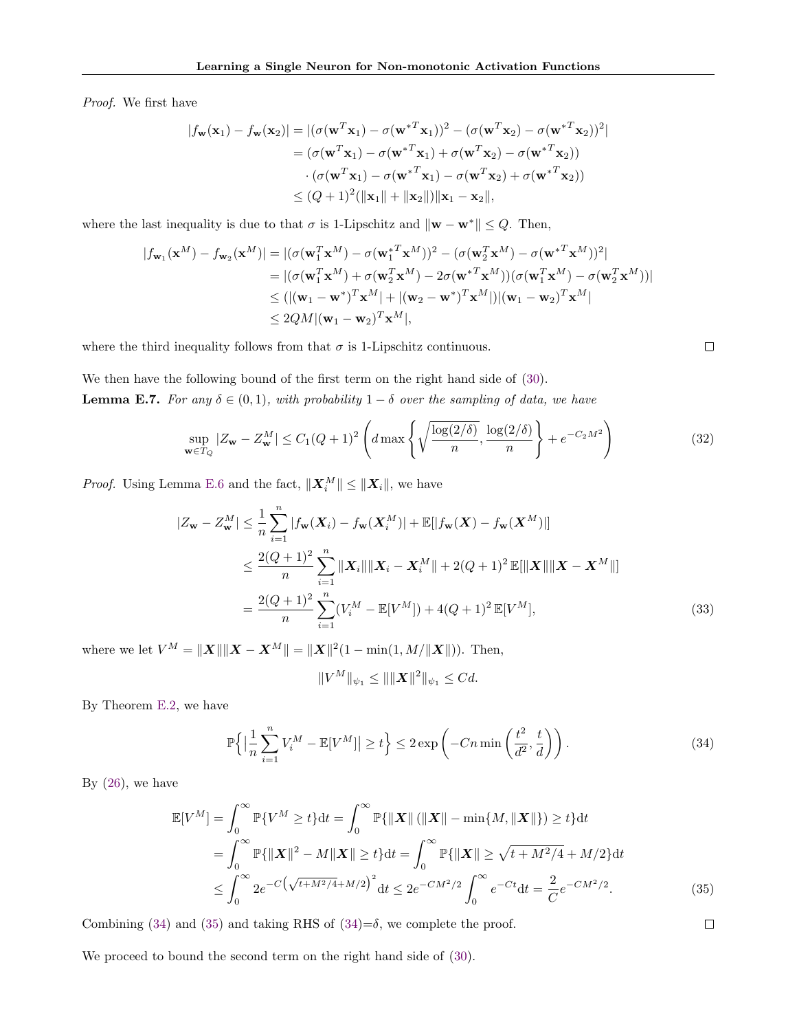Proof. We first have

$$
|f_{\mathbf{w}}(\mathbf{x}_1) - f_{\mathbf{w}}(\mathbf{x}_2)| = |(\sigma(\mathbf{w}^T \mathbf{x}_1) - \sigma(\mathbf{w}^{*T} \mathbf{x}_1))^2 - (\sigma(\mathbf{w}^T \mathbf{x}_2) - \sigma(\mathbf{w}^{*T} \mathbf{x}_2))^2|
$$
  
=  $(\sigma(\mathbf{w}^T \mathbf{x}_1) - \sigma(\mathbf{w}^{*T} \mathbf{x}_1) + \sigma(\mathbf{w}^T \mathbf{x}_2) - \sigma(\mathbf{w}^{*T} \mathbf{x}_2))$   
 $\cdot (\sigma(\mathbf{w}^T \mathbf{x}_1) - \sigma(\mathbf{w}^{*T} \mathbf{x}_1) - \sigma(\mathbf{w}^T \mathbf{x}_2) + \sigma(\mathbf{w}^{*T} \mathbf{x}_2))$   
 $\leq (Q+1)^2(||\mathbf{x}_1|| + ||\mathbf{x}_2||) ||\mathbf{x}_1 - \mathbf{x}_2||,$ 

where the last inequality is due to that  $\sigma$  is 1-Lipschitz and  $\|\mathbf{w} - \mathbf{w}^*\| \leq Q$ . Then,

$$
|f_{\mathbf{w}_1}(\mathbf{x}^M) - f_{\mathbf{w}_2}(\mathbf{x}^M)| = |(\sigma(\mathbf{w}_1^T \mathbf{x}^M) - \sigma(\mathbf{w}_1^{*T} \mathbf{x}^M))^2 - (\sigma(\mathbf{w}_2^T \mathbf{x}^M) - \sigma(\mathbf{w}^{*T} \mathbf{x}^M))^2|
$$
  
\n
$$
= |(\sigma(\mathbf{w}_1^T \mathbf{x}^M) + \sigma(\mathbf{w}_2^T \mathbf{x}^M) - 2\sigma(\mathbf{w}^{*T} \mathbf{x}^M))(\sigma(\mathbf{w}_1^T \mathbf{x}^M) - \sigma(\mathbf{w}_2^T \mathbf{x}^M))|
$$
  
\n
$$
\leq (|(\mathbf{w}_1 - \mathbf{w}^*)^T \mathbf{x}^M| + |(\mathbf{w}_2 - \mathbf{w}^*)^T \mathbf{x}^M|)|(\mathbf{w}_1 - \mathbf{w}_2)^T \mathbf{x}^M|
$$
  
\n
$$
\leq 2QM|(\mathbf{w}_1 - \mathbf{w}_2)^T \mathbf{x}^M|,
$$

where the third inequality follows from that  $\sigma$  is 1-Lipschitz continuous.

<span id="page-15-2"></span>We then have the following bound of the first term on the right hand side of [\(30\)](#page-14-1). **Lemma E.7.** For any  $\delta \in (0,1)$ , with probability  $1-\delta$  over the sampling of data, we have

$$
\sup_{\mathbf{w}\in T_Q} |Z_{\mathbf{w}} - Z_{\mathbf{w}}^M| \le C_1 (Q+1)^2 \left( d \max \left\{ \sqrt{\frac{\log(2/\delta)}{n}}, \frac{\log(2/\delta)}{n} \right\} + e^{-C_2 M^2} \right) \tag{32}
$$

 $\Box$ 

<span id="page-15-1"></span> $\Box$ 

*Proof.* Using Lemma [E.6](#page-14-2) and the fact,  $||\mathbf{X}_i^M|| \le ||\mathbf{X}_i||$ , we have

$$
|Z_{\mathbf{w}} - Z_{\mathbf{w}}^{M}| \leq \frac{1}{n} \sum_{i=1}^{n} |f_{\mathbf{w}}(\mathbf{X}_{i}) - f_{\mathbf{w}}(\mathbf{X}_{i}^{M})| + \mathbb{E}[|f_{\mathbf{w}}(\mathbf{X}) - f_{\mathbf{w}}(\mathbf{X}^{M})|]
$$
  
\n
$$
\leq \frac{2(Q+1)^{2}}{n} \sum_{i=1}^{n} ||\mathbf{X}_{i}|| ||\mathbf{X}_{i} - \mathbf{X}_{i}^{M}|| + 2(Q+1)^{2} \mathbb{E}[||\mathbf{X}|| ||\mathbf{X} - \mathbf{X}^{M}||]
$$
  
\n
$$
= \frac{2(Q+1)^{2}}{n} \sum_{i=1}^{n} (V_{i}^{M} - \mathbb{E}[V^{M}]) + 4(Q+1)^{2} \mathbb{E}[V^{M}], \tag{33}
$$

where we let  $V^M = ||X|| ||X - X^M|| = ||X||^2(1 - \min(1, M/||X||))$ . Then,

$$
||V^M||_{\psi_1} \leq ||||\boldsymbol{X}||^2||_{\psi_1} \leq Cd.
$$

By Theorem [E.2,](#page-13-2) we have

<span id="page-15-0"></span>
$$
\mathbb{P}\left\{ \left| \frac{1}{n} \sum_{i=1}^{n} V_i^M - \mathbb{E}[V^M] \right| \ge t \right\} \le 2 \exp\left( -Cn \min\left( \frac{t^2}{d^2}, \frac{t}{d} \right) \right). \tag{34}
$$

By  $(26)$ , we have

$$
\mathbb{E}[V^M] = \int_0^\infty \mathbb{P}\{V^M \ge t\} \mathrm{d}t = \int_0^\infty \mathbb{P}\{\|X\| (\|X\| - \min\{M, \|X\|\}) \ge t\} \mathrm{d}t \n= \int_0^\infty \mathbb{P}\{\|X\|^2 - M\|X\| \ge t\} \mathrm{d}t = \int_0^\infty \mathbb{P}\{\|X\| \ge \sqrt{t + M^2/4} + M/2\} \mathrm{d}t \n\le \int_0^\infty 2e^{-C\left(\sqrt{t + M^2/4} + M/2\right)^2} \mathrm{d}t \le 2e^{-CM^2/2} \int_0^\infty e^{-Ct} \mathrm{d}t = \frac{2}{C}e^{-CM^2/2}.
$$
\n(35)

Combining [\(34\)](#page-15-0) and [\(35\)](#page-15-1) and taking RHS of  $(34)=\delta$ , we complete the proof.

We proceed to bound the second term on the right hand side of [\(30\)](#page-14-1).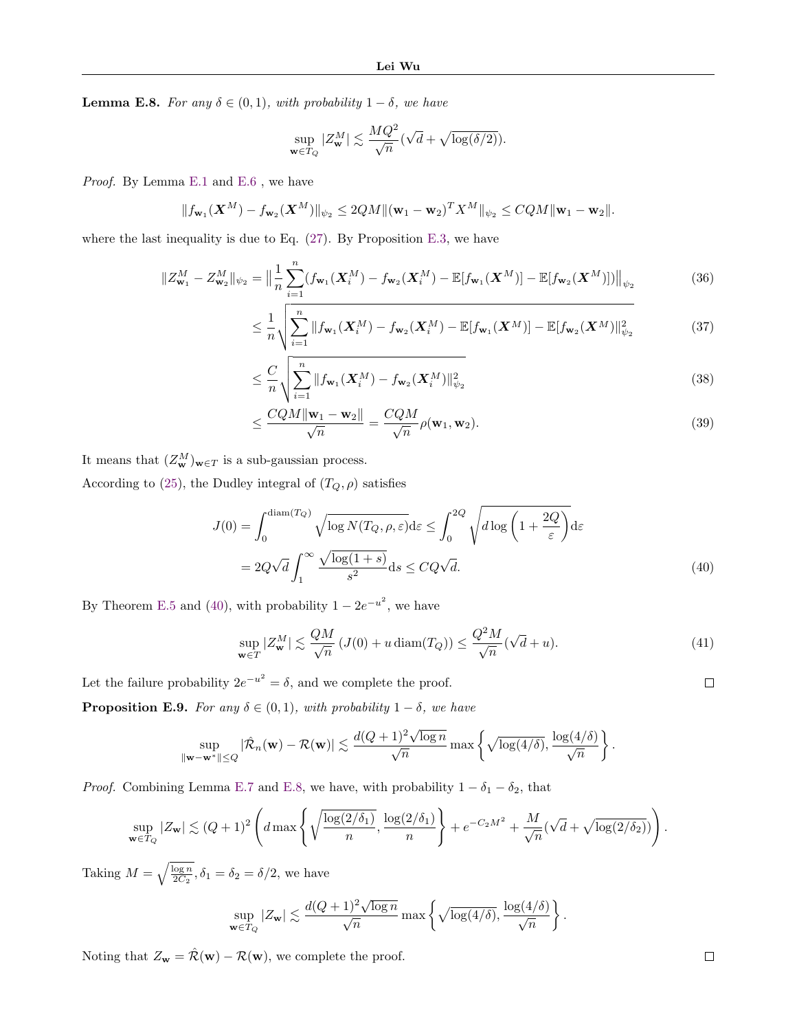<span id="page-16-1"></span>**Lemma E.8.** For any  $\delta \in (0,1)$ , with probability  $1-\delta$ , we have

$$
\sup_{\mathbf{w}\in T_Q}|Z^M_\mathbf{w}|\lesssim \frac{MQ^2}{\sqrt{n}}(\sqrt{d}+\sqrt{\log(\delta/2)}).
$$

Proof. By Lemma [E.1](#page-0-1) and [E.6](#page-14-2) , we have

$$
||f_{\mathbf{w}_1}(\mathbf{X}^M) - f_{\mathbf{w}_2}(\mathbf{X}^M)||_{\psi_2} \le 2QM \|( \mathbf{w}_1 - \mathbf{w}_2)^T X^M \|_{\psi_2} \le CQM \|\mathbf{w}_1 - \mathbf{w}_2\|.
$$

where the last inequality is due to Eq.  $(27)$ . By Proposition [E.3,](#page-13-3) we have

$$
||Z_{\mathbf{w}_1}^M - Z_{\mathbf{w}_2}^M||_{\psi_2} = \Big\| \frac{1}{n} \sum_{i=1}^n (f_{\mathbf{w}_1}(\mathbf{X}_i^M) - f_{\mathbf{w}_2}(\mathbf{X}_i^M) - \mathbb{E}[f_{\mathbf{w}_1}(\mathbf{X}^M)] - \mathbb{E}[f_{\mathbf{w}_2}(\mathbf{X}^M)]) \Big\|_{\psi_2}
$$
(36)

$$
\leq \frac{1}{n} \sqrt{\sum_{i=1}^{n} \left\|f_{\mathbf{w}_1}(\mathbf{X}_i^M) - f_{\mathbf{w}_2}(\mathbf{X}_i^M) - \mathbb{E}[f_{\mathbf{w}_1}(\mathbf{X}^M)] - \mathbb{E}[f_{\mathbf{w}_2}(\mathbf{X}^M)]\right\|_{\psi_2}^2}
$$
(37)

$$
\leq \frac{C}{n} \sqrt{\sum_{i=1}^{n} \|f_{\mathbf{w}_1}(\mathbf{X}_i^M) - f_{\mathbf{w}_2}(\mathbf{X}_i^M)\|_{\psi_2}^2}
$$
(38)

$$
\leq \frac{CQM \|\mathbf{w}_1 - \mathbf{w}_2\|}{\sqrt{n}} = \frac{CQM}{\sqrt{n}} \rho(\mathbf{w}_1, \mathbf{w}_2). \tag{39}
$$

It means that  $(Z_w^M)_{w \in T}$  is a sub-gaussian process.

According to [\(25\)](#page-14-5), the Dudley integral of  $(T_Q,\rho)$  satisfies

$$
J(0) = \int_0^{\text{diam}(T_Q)} \sqrt{\log N(T_Q, \rho, \varepsilon)} d\varepsilon \le \int_0^{2Q} \sqrt{d \log \left(1 + \frac{2Q}{\varepsilon}\right)} d\varepsilon
$$
  
= 
$$
2Q\sqrt{d} \int_1^{\infty} \frac{\sqrt{\log(1+s)}}{s^2} ds \le CQ\sqrt{d}.
$$
 (40)

By Theorem [E.5](#page-14-6) and [\(40\)](#page-16-0), with probability  $1 - 2e^{-u^2}$ , we have

$$
\sup_{\mathbf{w}\in T} |Z_{\mathbf{w}}^M| \lesssim \frac{QM}{\sqrt{n}} \left( J(0) + u \operatorname{diam}(T_Q) \right) \le \frac{Q^2 M}{\sqrt{n}} (\sqrt{d} + u). \tag{41}
$$

.

Let the failure probability  $2e^{-u^2} = \delta$ , and we complete the proof.

**Proposition E.9.** For any  $\delta \in (0,1)$ , with probability  $1 - \delta$ , we have

$$
\sup_{\|\mathbf{w}-\mathbf{w}^*\|\leq Q}|\hat{\mathcal{R}}_n(\mathbf{w})-\mathcal{R}(\mathbf{w})|\lesssim \frac{d(Q+1)^2\sqrt{\log n}}{\sqrt{n}}\max\left\{\sqrt{\log(4/\delta)},\frac{\log(4/\delta)}{\sqrt{n}}\right\}.
$$

*Proof.* Combining Lemma [E.7](#page-15-2) and [E.8,](#page-16-1) we have, with probability  $1 - \delta_1 - \delta_2$ , that

$$
\sup_{\mathbf{w}\in T_Q}|Z_{\mathbf{w}}|\lesssim (Q+1)^2\left(d\max\left\{\sqrt{\frac{\log(2/\delta_1)}{n}},\frac{\log(2/\delta_1)}{n}\right\}+e^{-C_2M^2}+\frac{M}{\sqrt{n}}(\sqrt{d}+\sqrt{\log(2/\delta_2)})\right).
$$

Taking  $M = \sqrt{\frac{\log n}{2C_2}}, \delta_1 = \delta_2 = \delta/2$ , we have

$$
\sup_{\mathbf{w}\in T_Q}|Z_{\mathbf{w}}|\lesssim \frac{d(Q+1)^2\sqrt{\log n}}{\sqrt{n}}\max\left\{\sqrt{\log(4/\delta)},\frac{\log(4/\delta)}{\sqrt{n}}\right\}
$$

Noting that  $Z_{\mathbf{w}} = \hat{\mathcal{R}}(\mathbf{w}) - \mathcal{R}(\mathbf{w})$ , we complete the proof.

<span id="page-16-0"></span> $\Box$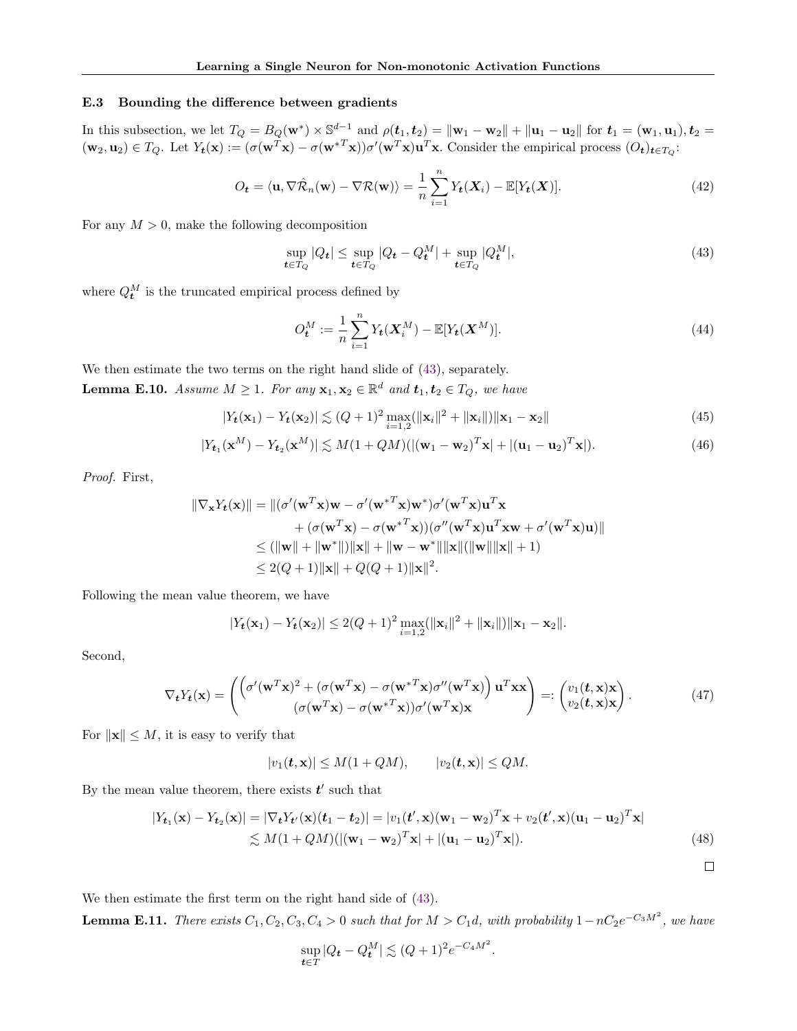#### E.3 Bounding the difference between gradients

In this subsection, we let  $T_Q = B_Q(\mathbf{w}^*) \times \mathbb{S}^{d-1}$  and  $\rho(\mathbf{t}_1, \mathbf{t}_2) = \|\mathbf{w}_1 - \mathbf{w}_2\| + \|\mathbf{u}_1 - \mathbf{u}_2\|$  for  $\mathbf{t}_1 = (\mathbf{w}_1, \mathbf{u}_1), \mathbf{t}_2 =$  $(\mathbf{w}_2, \mathbf{u}_2) \in T_Q$ . Let  $Y_t(\mathbf{x}) := (\sigma(\mathbf{w}^T \mathbf{x}) - \sigma(\mathbf{w}^{*T} \mathbf{x})) \sigma'(\mathbf{w}^T \mathbf{x}) \mathbf{u}^T \mathbf{x}$ . Consider the empirical process  $(O_t)_{t \in T_Q}$ :

$$
O_{t} = \langle \mathbf{u}, \nabla \hat{\mathcal{R}}_{n}(\mathbf{w}) - \nabla \mathcal{R}(\mathbf{w}) \rangle = \frac{1}{n} \sum_{i=1}^{n} Y_{t}(X_{i}) - \mathbb{E}[Y_{t}(X)]. \tag{42}
$$

For any  $M > 0$ , make the following decomposition

<span id="page-17-0"></span>
$$
\sup_{t \in T_Q} |Q_t| \le \sup_{t \in T_Q} |Q_t - Q_t^M| + \sup_{t \in T_Q} |Q_t^M|,\tag{43}
$$

where  $Q_t^M$  is the truncated empirical process defined by

$$
O_t^M := \frac{1}{n} \sum_{i=1}^n Y_t(\mathbf{X}_i^M) - \mathbb{E}[Y_t(\mathbf{X}^M)].
$$
\n(44)

<span id="page-17-1"></span>We then estimate the two terms on the right hand slide of [\(43\)](#page-17-0), separately. **Lemma E.10.** Assume  $M \geq 1$ . For any  $\mathbf{x}_1, \mathbf{x}_2 \in \mathbb{R}^d$  and  $\mathbf{t}_1, \mathbf{t}_2 \in T_Q$ , we have

$$
|Y_t(\mathbf{x}_1) - Y_t(\mathbf{x}_2)| \lesssim (Q+1)^2 \max_{i=1,2} (||\mathbf{x}_i||^2 + ||\mathbf{x}_i||) ||\mathbf{x}_1 - \mathbf{x}_2|| \tag{45}
$$

$$
|Y_{t_1}(\mathbf{x}^M) - Y_{t_2}(\mathbf{x}^M)| \lesssim M(1 + QM)(|(\mathbf{w}_1 - \mathbf{w}_2)^T \mathbf{x}| + |(\mathbf{u}_1 - \mathbf{u}_2)^T \mathbf{x}|). \tag{46}
$$

Proof. First,

$$
\|\nabla_{\mathbf{x}} Y_t(\mathbf{x})\| = \|(\sigma'(\mathbf{w}^T \mathbf{x})\mathbf{w} - \sigma'(\mathbf{w}^{*T} \mathbf{x})\mathbf{w}^*)\sigma'(\mathbf{w}^T \mathbf{x})\mathbf{u}^T \mathbf{x} \n+ (\sigma(\mathbf{w}^T \mathbf{x}) - \sigma(\mathbf{w}^{*T} \mathbf{x}))(\sigma''(\mathbf{w}^T \mathbf{x})\mathbf{u}^T \mathbf{x}\mathbf{w} + \sigma'(\mathbf{w}^T \mathbf{x})\mathbf{u})\| \n\leq (||\mathbf{w}|| + ||\mathbf{w}^*||) ||\mathbf{x}|| + ||\mathbf{w} - \mathbf{w}^*|| ||\mathbf{x}|| (||\mathbf{w}|| ||\mathbf{x}|| + 1) \n\leq 2(Q+1) ||\mathbf{x}|| + Q(Q+1) ||\mathbf{x}||^2.
$$

Following the mean value theorem, we have

$$
|Y_{t}(\mathbf{x}_{1}) - Y_{t}(\mathbf{x}_{2})| \leq 2(Q+1)^{2} \max_{i=1,2} (\|\mathbf{x}_{i}\|^{2} + \|\mathbf{x}_{i}\|) \|\mathbf{x}_{1} - \mathbf{x}_{2}\|.
$$

Second,

$$
\nabla_t Y_t(\mathbf{x}) = \begin{pmatrix} \left( \sigma'(\mathbf{w}^T \mathbf{x})^2 + (\sigma(\mathbf{w}^T \mathbf{x}) - \sigma(\mathbf{w}^{*T} \mathbf{x}) \sigma''(\mathbf{w}^T \mathbf{x}) \right) \mathbf{u}^T \mathbf{x} \mathbf{x} \\ (\sigma(\mathbf{w}^T \mathbf{x}) - \sigma(\mathbf{w}^{*T} \mathbf{x})) \sigma'(\mathbf{w}^T \mathbf{x}) \mathbf{x} \end{pmatrix} =: \begin{pmatrix} v_1(t, \mathbf{x}) \mathbf{x} \\ v_2(t, \mathbf{x}) \mathbf{x} \end{pmatrix}.
$$
 (47)

For  $\|\mathbf{x}\| \leq M$ , it is easy to verify that

$$
|v_1(\mathbf{t}, \mathbf{x})| \le M(1 + QM), \qquad |v_2(\mathbf{t}, \mathbf{x})| \le QM.
$$

By the mean value theorem, there exists  $t'$  such that

$$
|Y_{t_1}(\mathbf{x}) - Y_{t_2}(\mathbf{x})| = |\nabla_t Y_{t'}(\mathbf{x})(t_1 - t_2)| = |v_1(t', \mathbf{x})(\mathbf{w}_1 - \mathbf{w}_2)^T \mathbf{x} + v_2(t', \mathbf{x})(\mathbf{u}_1 - \mathbf{u}_2)^T \mathbf{x}|
$$
  
\n
$$
\lesssim M(1 + QM)(|(\mathbf{w}_1 - \mathbf{w}_2)^T \mathbf{x}| + |(\mathbf{u}_1 - \mathbf{u}_2)^T \mathbf{x}|).
$$
\n(48)

.

We then estimate the first term on the right hand side of [\(43\)](#page-17-0).

<span id="page-17-2"></span>**Lemma E.11.** There exists  $C_1, C_2, C_3, C_4 > 0$  such that for  $M > C_1d$ , with probability  $1 - nC_2e^{-C_3M^2}$ , we have

$$
\sup_{t \in T} |Q_t - Q_t^M| \lesssim (Q+1)^2 e^{-C_4 M^2}
$$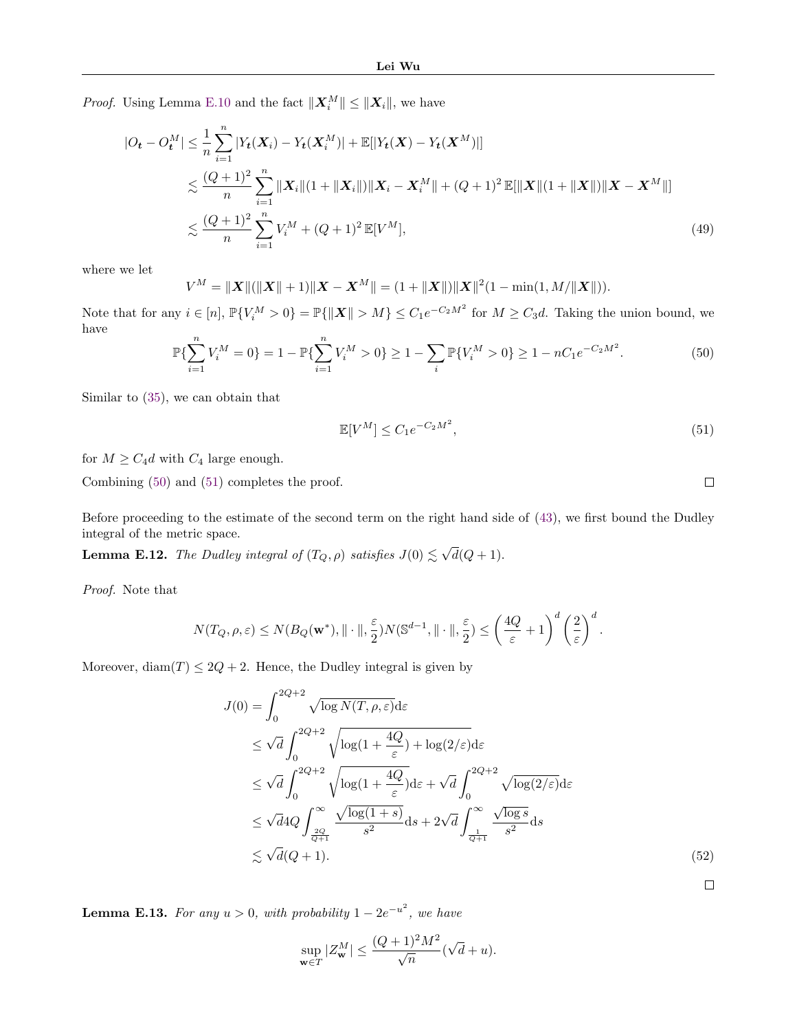*Proof.* Using Lemma [E.10](#page-17-1) and the fact  $||\mathbf{X}_i^M|| \le ||\mathbf{X}_i||$ , we have

$$
|O_{t} - O_{t}^{M}| \leq \frac{1}{n} \sum_{i=1}^{n} |Y_{t}(\boldsymbol{X}_{i}) - Y_{t}(\boldsymbol{X}_{i}^{M})| + \mathbb{E}[|Y_{t}(\boldsymbol{X}) - Y_{t}(\boldsymbol{X}^{M})|]
$$
  

$$
\lesssim \frac{(Q+1)^{2}}{n} \sum_{i=1}^{n} ||\boldsymbol{X}_{i}||(1 + ||\boldsymbol{X}_{i}||)||\boldsymbol{X}_{i} - \boldsymbol{X}_{i}^{M}|| + (Q+1)^{2} \mathbb{E}[||\boldsymbol{X}||(1 + ||\boldsymbol{X}||)||\boldsymbol{X} - \boldsymbol{X}^{M}||]
$$
  

$$
\lesssim \frac{(Q+1)^{2}}{n} \sum_{i=1}^{n} V_{i}^{M} + (Q+1)^{2} \mathbb{E}[V^{M}], \tag{49}
$$

where we let

$$
V^M = ||X||(||X|| + 1)||X - X^M|| = (1 + ||X||)||X||^2(1 - \min(1, M/||X||)).
$$

Note that for any  $i \in [n]$ ,  $\mathbb{P}{V_i^M > 0} = \mathbb{P}{\{\Vert \boldsymbol{X} \Vert > M\} \leq C_1 e^{-C_2 M^2} \text{ for } M \geq C_3 d.$  Taking the union bound, we have

<span id="page-18-0"></span>
$$
\mathbb{P}\{\sum_{i=1}^{n}V_i^M=0\}=1-\mathbb{P}\{\sum_{i=1}^{n}V_i^M>0\}\geq 1-\sum_{i}\mathbb{P}\{V_i^M>0\}\geq 1-nC_1e^{-C_2M^2}.\tag{50}
$$

Similar to [\(35\)](#page-15-1), we can obtain that

$$
\mathbb{E}[V^M] \le C_1 e^{-C_2 M^2},\tag{51}
$$

for  $M \geq C_4d$  with  $C_4$  large enough.

Combining [\(50\)](#page-18-0) and [\(51\)](#page-18-1) completes the proof.

Before proceeding to the estimate of the second term on the right hand side of [\(43\)](#page-17-0), we first bound the Dudley integral of the metric space.

<span id="page-18-2"></span>**Lemma E.12.** The Dudley integral of  $(T_Q, \rho)$  satisfies  $J(0) \lesssim \sqrt{d}(Q+1)$ .

Proof. Note that

$$
N(T_Q, \rho, \varepsilon) \le N(B_Q(\mathbf{w}^*), \|\cdot\|, \frac{\varepsilon}{2})N(\mathbb{S}^{d-1}, \|\cdot\|, \frac{\varepsilon}{2}) \le \left(\frac{4Q}{\varepsilon} + 1\right)^d \left(\frac{2}{\varepsilon}\right)^d.
$$

Moreover,  $\text{diam}(T) \leq 2Q + 2$ . Hence, the Dudley integral is given by

$$
J(0) = \int_0^{2Q+2} \sqrt{\log N(T, \rho, \varepsilon)} d\varepsilon
$$
  
\n
$$
\leq \sqrt{d} \int_0^{2Q+2} \sqrt{\log(1 + \frac{4Q}{\varepsilon})} + \log(2/\varepsilon) d\varepsilon
$$
  
\n
$$
\leq \sqrt{d} \int_0^{2Q+2} \sqrt{\log(1 + \frac{4Q}{\varepsilon})} d\varepsilon + \sqrt{d} \int_0^{2Q+2} \sqrt{\log(2/\varepsilon)} d\varepsilon
$$
  
\n
$$
\leq \sqrt{d} 4Q \int_{\frac{2Q}{Q+1}}^{\infty} \frac{\sqrt{\log(1+s)}}{s^2} ds + 2\sqrt{d} \int_{\frac{1}{Q+1}}^{\infty} \frac{\sqrt{\log s}}{s^2} ds
$$
  
\n
$$
\lesssim \sqrt{d}(Q+1).
$$
 (52)

 $\Box$ 

<span id="page-18-3"></span>**Lemma E.13.** For any  $u > 0$ , with probability  $1 - 2e^{-u^2}$ , we have

$$
\sup_{\mathbf{w}\in T}|Z_{\mathbf{w}}^M| \le \frac{(Q+1)^2M^2}{\sqrt{n}}(\sqrt{d}+u).
$$

<span id="page-18-1"></span> $\Box$